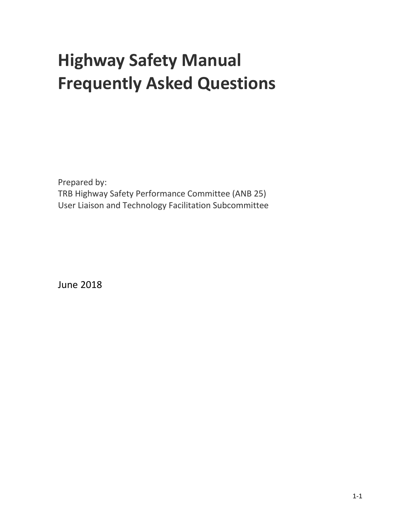# **Highway Safety Manual Frequently Asked Questions**

Prepared by: TRB Highway Safety Performance Committee (ANB 25) User Liaison and Technology Facilitation Subcommittee

June 2018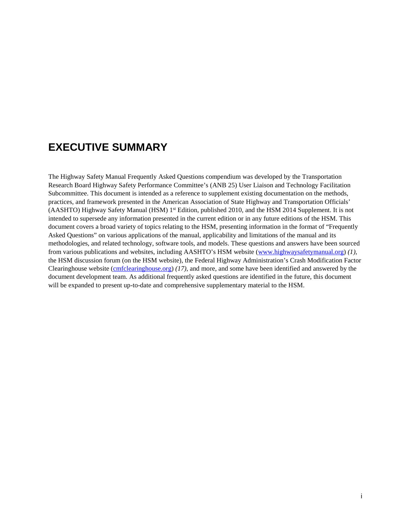## <span id="page-1-0"></span>**EXECUTIVE SUMMARY**

The Highway Safety Manual Frequently Asked Questions compendium was developed by the Transportation Research Board Highway Safety Performance Committee's (ANB 25) User Liaison and Technology Facilitation Subcommittee. This document is intended as a reference to supplement existing documentation on the methods, practices, and framework presented in the American Association of State Highway and Transportation Officials' (AASHTO) Highway Safety Manual (HSM) 1<sup>st</sup> Edition, published 2010, and the HSM 2014 Supplement. It is not intended to supersede any information presented in the current edition or in any future editions of the HSM. This document covers a broad variety of topics relating to the HSM, presenting information in the format of "Frequently Asked Questions" on various applications of the manual, applicability and limitations of the manual and its methodologies, and related technology, software tools, and models. These questions and answers have been sourced from various publications and websites, including AASHTO's HSM website [\(www.highwaysafetymanual.org\)](http://www.highwaysafetymanual.org/) *(1),* the HSM discussion forum (on the HSM website), the Federal Highway Administration's Crash Modification Factor Clearinghouse website [\(cmfclearinghouse.org\)](http://www.cmfclearinghouse.org/) *(17)*, and more, and some have been identified and answered by the document development team. As additional frequently asked questions are identified in the future, this document will be expanded to present up-to-date and comprehensive supplementary material to the HSM.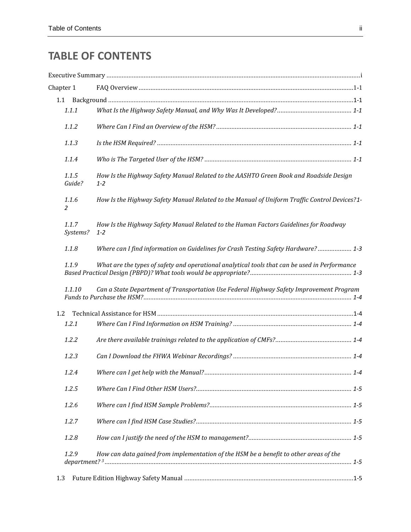## **TABLE OF CONTENTS**

|     | Chapter 1         |                                                                                               |  |
|-----|-------------------|-----------------------------------------------------------------------------------------------|--|
|     |                   |                                                                                               |  |
|     | 1.1.1             |                                                                                               |  |
|     | 1.1.2             | $1 - 2$<br>$1 - 2$                                                                            |  |
|     | 1.1.3             |                                                                                               |  |
|     | 1.1.4             |                                                                                               |  |
|     | 1.1.5<br>Guide?   | How Is the Highway Safety Manual Related to the AASHTO Green Book and Roadside Design         |  |
|     | 1.1.6<br>2        | How Is the Highway Safety Manual Related to the Manual of Uniform Traffic Control Devices?1-  |  |
|     | 1.1.7<br>Systems? | How Is the Highway Safety Manual Related to the Human Factors Guidelines for Roadway          |  |
|     | 1.1.8             | Where can I find information on Guidelines for Crash Testing Safety Hardware? 1-3             |  |
|     | 1.1.9             | What are the types of safety and operational analytical tools that can be used in Performance |  |
|     | 1.1.10            | Can a State Department of Transportation Use Federal Highway Safety Improvement Program       |  |
| 1.2 |                   |                                                                                               |  |
|     | 1.2.1             |                                                                                               |  |
|     | 1.2.2             |                                                                                               |  |
|     | 1.2.3             |                                                                                               |  |
|     | 1.2.4             |                                                                                               |  |
|     | 1.2.5             |                                                                                               |  |
|     | 1.2.6             |                                                                                               |  |
|     | 1.2.7             |                                                                                               |  |
|     | 1.2.8             |                                                                                               |  |
|     | 1.2.9             | How can data gained from implementation of the HSM be a benefit to other areas of the         |  |
| 1.3 |                   |                                                                                               |  |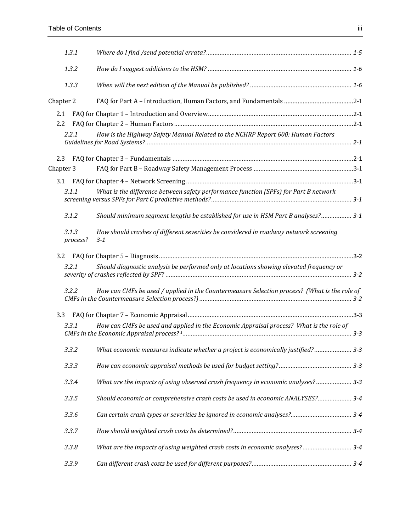| 1.3.1             |                                                                                                  |  |
|-------------------|--------------------------------------------------------------------------------------------------|--|
| 1.3.2             |                                                                                                  |  |
| 1.3.3             |                                                                                                  |  |
| Chapter 2         |                                                                                                  |  |
| 2.1               |                                                                                                  |  |
| 2.2               |                                                                                                  |  |
| 2.2.1             | How is the Highway Safety Manual Related to the NCHRP Report 600: Human Factors                  |  |
| 2.3               |                                                                                                  |  |
| Chapter 3         |                                                                                                  |  |
|                   |                                                                                                  |  |
|                   |                                                                                                  |  |
| 3.1.1             | What is the difference between safety performance function (SPFs) for Part B network             |  |
| 3.1.2             | Should minimum segment lengths be established for use in HSM Part B analyses? 3-1                |  |
| 3.1.3<br>process? | How should crashes of different severities be considered in roadway network screening<br>$3 - 1$ |  |
| 3.2               |                                                                                                  |  |
| 3.2.1             | Should diagnostic analysis be performed only at locations showing elevated frequency or          |  |
| 3.2.2             | How can CMFs be used / applied in the Countermeasure Selection process? (What is the role of     |  |
| 3.3               |                                                                                                  |  |
| 3.3.1             | How can CMFs be used and applied in the Economic Appraisal process? What is the role of          |  |
| 3.3.2             | What economic measures indicate whether a project is economically justified? 3-3                 |  |
| 3.3.3             |                                                                                                  |  |
| 3.3.4             | What are the impacts of using observed crash frequency in economic analyses? 3-3                 |  |
| 3.3.5             | Should economic or comprehensive crash costs be used in economic ANALYSES? 3-4                   |  |
| 3.3.6             |                                                                                                  |  |
| 3.3.7             |                                                                                                  |  |
| 3.3.8             | What are the impacts of using weighted crash costs in economic analyses? 3-4                     |  |
| 3.3.9             |                                                                                                  |  |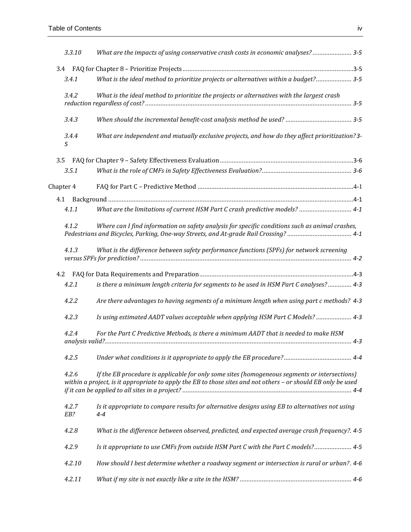| 3.3.10       | What are the impacts of using conservative crash costs in economic analyses? 3-5                                                                                                                               |  |
|--------------|----------------------------------------------------------------------------------------------------------------------------------------------------------------------------------------------------------------|--|
| 3.4          |                                                                                                                                                                                                                |  |
| 3.4.1        | What is the ideal method to prioritize projects or alternatives within a budget? 3-5                                                                                                                           |  |
| 3.4.2        | What is the ideal method to prioritize the projects or alternatives with the largest crash                                                                                                                     |  |
| 3.4.3        |                                                                                                                                                                                                                |  |
| 3.4.4<br>5   | What are independent and mutually exclusive projects, and how do they affect prioritization? 3-                                                                                                                |  |
| 3.5          |                                                                                                                                                                                                                |  |
| 3.5.1        |                                                                                                                                                                                                                |  |
| Chapter 4    |                                                                                                                                                                                                                |  |
|              |                                                                                                                                                                                                                |  |
| 4.1.1        | What are the limitations of current HSM Part C crash predictive models?  4-1                                                                                                                                   |  |
| 4.1.2        | Where can I find information on safety analysis for specific conditions such as animal crashes,<br>Pedestrians and Bicycles, Parking, One-way Streets, and At-grade Rail Crossing? 4-1                         |  |
| 4.1.3        | What is the difference between safety performance functions (SPFs) for network screening                                                                                                                       |  |
| 4.2          |                                                                                                                                                                                                                |  |
| 4.2.1        | is there a minimum length criteria for segments to be used in HSM Part C analyses? 4-3                                                                                                                         |  |
| 4.2.2        | Are there advantages to having segments of a minimum length when using part c methods? 4-3                                                                                                                     |  |
| 4.2.3        | Is using estimated AADT values acceptable when applying HSM Part C Models?  4-3                                                                                                                                |  |
| 4.2.4        | For the Part C Predictive Methods, is there a minimum AADT that is needed to make HSM                                                                                                                          |  |
| 4.2.5        |                                                                                                                                                                                                                |  |
| 4.2.6        | If the EB procedure is applicable for only some sites (homogeneous segments or intersections)<br>within a project, is it appropriate to apply the EB to those sites and not others - or should EB only be used |  |
| 4.2.7<br>EB? | Is it appropriate to compare results for alternative designs using EB to alternatives not using<br>4-4                                                                                                         |  |
| 4.2.8        | What is the difference between observed, predicted, and expected average crash frequency?. 4-5                                                                                                                 |  |
| 4.2.9        | Is it appropriate to use CMFs from outside HSM Part C with the Part C models? 4-5                                                                                                                              |  |
| 4.2.10       | How should I best determine whether a roadway segment or intersection is rural or urban?. 4-6                                                                                                                  |  |
| 4.2.11       |                                                                                                                                                                                                                |  |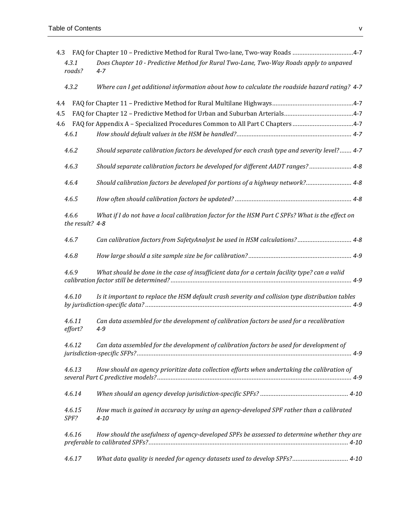| 4.3 |                          |                                                                                                      |  |
|-----|--------------------------|------------------------------------------------------------------------------------------------------|--|
|     | 4.3.1<br>roads?          | Does Chapter 10 - Predictive Method for Rural Two-Lane, Two-Way Roads apply to unpaved<br>$4 - 7$    |  |
|     | 4.3.2                    | Where can I get additional information about how to calculate the roadside hazard rating? 4-7        |  |
| 4.4 |                          |                                                                                                      |  |
| 4.5 |                          |                                                                                                      |  |
| 4.6 |                          |                                                                                                      |  |
|     | 4.6.1                    |                                                                                                      |  |
|     | 4.6.2                    | Should separate calibration factors be developed for each crash type and severity level? 4-7         |  |
|     | 4.6.3                    |                                                                                                      |  |
|     | 4.6.4                    | Should calibration factors be developed for portions of a highway network? 4-8                       |  |
|     | 4.6.5                    |                                                                                                      |  |
|     | 4.6.6<br>the result? 4-8 | What if I do not have a local calibration factor for the HSM Part C SPFs? What is the effect on      |  |
|     | 4.6.7                    | Can calibration factors from SafetyAnalyst be used in HSM calculations? 4-8                          |  |
|     | 4.6.8                    |                                                                                                      |  |
|     | 4.6.9                    | What should be done in the case of insufficient data for a certain facility type? can a valid        |  |
|     | 4.6.10                   | Is it important to replace the HSM default crash severity and collision type distribution tables     |  |
|     | 4.6.11<br>effort?        | Can data assembled for the development of calibration factors be used for a recalibration<br>$4 - 9$ |  |
|     | 4.6.12                   | Can data assembled for the development of calibration factors be used for development of             |  |
|     | 4.6.13                   | How should an agency prioritize data collection efforts when undertaking the calibration of          |  |
|     | 4.6.14                   |                                                                                                      |  |
|     | 4.6.15<br>SPF?           | How much is gained in accuracy by using an agency-developed SPF rather than a calibrated<br>$4 - 10$ |  |
|     | 4.6.16                   | How should the usefulness of agency-developed SPFs be assessed to determine whether they are         |  |
|     | 4.6.17                   | What data quality is needed for agency datasets used to develop SPFs? 4-10                           |  |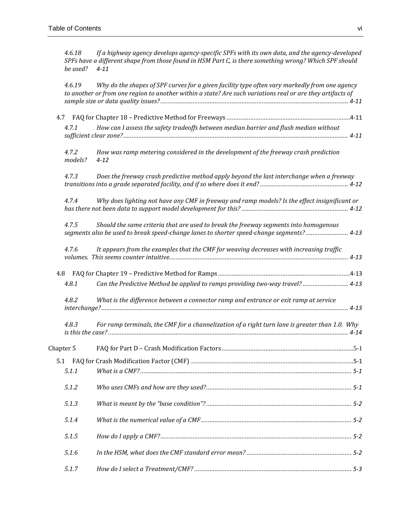*4.6.18 [If a highway agency develops agency-specific SPFs with its own data, and the agency-developed](#page-32-0)  [SPFs have a different shape from those found in HSM Part C, is there something wrong? Which SPF should](#page-32-0)  [be used?](#page-32-0) 4-11*

|           | 4.6.19           | Why do the shapes of SPF curves for a given facility type often vary markedly from one agency<br>to another or from one region to another within a state? Are such variations real or are they artifacts of |  |
|-----------|------------------|-------------------------------------------------------------------------------------------------------------------------------------------------------------------------------------------------------------|--|
| 4.7       |                  |                                                                                                                                                                                                             |  |
|           | 4.7.1            | How can I assess the safety tradeoffs between median barrier and flush median without                                                                                                                       |  |
|           | 4.7.2<br>models? | How was ramp metering considered in the development of the freeway crash prediction<br>$4 - 12$                                                                                                             |  |
|           | 4.7.3            | Does the freeway crash predictive method apply beyond the last interchange when a freeway                                                                                                                   |  |
|           | 4.7.4            | Why does lighting not have any CMF in freeway and ramp models? Is the effect insignificant or                                                                                                               |  |
|           | 4.7.5            | Should the same criteria that are used to break the freeway segments into homogenous<br>segments also be used to break speed-change lanes to shorter speed-change segments? 4-13                            |  |
|           | 4.7.6            | It appears from the examples that the CMF for weaving decreases with increasing traffic                                                                                                                     |  |
| 4.8       |                  |                                                                                                                                                                                                             |  |
|           | 4.8.1            | Can the Predictive Method be applied to ramps providing two-way travel? 4-13                                                                                                                                |  |
|           | 4.8.2            | What is the difference between a connector ramp and entrance or exit ramp at service                                                                                                                        |  |
|           | 4.8.3            | For ramp terminals, the CMF for a channelization of a right turn lane is greater than 1.0. Why                                                                                                              |  |
| Chapter 5 |                  |                                                                                                                                                                                                             |  |
|           |                  |                                                                                                                                                                                                             |  |
|           | 5.1.1            |                                                                                                                                                                                                             |  |
|           | 5.1.2            |                                                                                                                                                                                                             |  |
|           | 5.1.3            |                                                                                                                                                                                                             |  |
|           | 5.1.4            |                                                                                                                                                                                                             |  |
|           | 5.1.5            |                                                                                                                                                                                                             |  |
|           | 5.1.6            |                                                                                                                                                                                                             |  |
|           | 5.1.7            |                                                                                                                                                                                                             |  |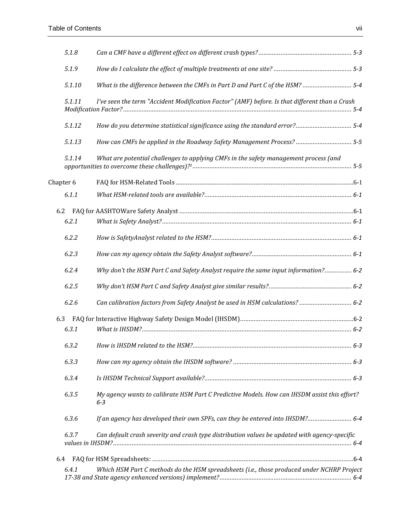|           | 5.1.8  |                                                                                                         |  |
|-----------|--------|---------------------------------------------------------------------------------------------------------|--|
|           | 5.1.9  |                                                                                                         |  |
|           | 5.1.10 | What is the difference between the CMFs in Part D and Part C of the HSM?  5-4                           |  |
|           | 5.1.11 | I've seen the term "Accident Modification Factor" (AMF) before. Is that different than a Crash          |  |
|           | 5.1.12 |                                                                                                         |  |
|           | 5.1.13 | How can CMFs be applied in the Roadway Safety Management Process?  5-5                                  |  |
|           | 5.1.14 | What are potential challenges to applying CMFs in the safety management process (and                    |  |
| Chapter 6 |        |                                                                                                         |  |
|           | 6.1.1  |                                                                                                         |  |
| 6.2       |        |                                                                                                         |  |
|           | 6.2.1  |                                                                                                         |  |
|           | 6.2.2  |                                                                                                         |  |
|           | 6.2.3  |                                                                                                         |  |
|           | 6.2.4  | Why don't the HSM Part C and Safety Analyst require the same input information? 6-2                     |  |
|           | 6.2.5  |                                                                                                         |  |
|           | 6.2.6  | Can calibration factors from Safety Analyst be used in HSM calculations? 6-2                            |  |
| 6.3       |        |                                                                                                         |  |
|           | 6.3.1  |                                                                                                         |  |
|           | 6.3.2  |                                                                                                         |  |
|           | 6.3.3  |                                                                                                         |  |
|           | 6.3.4  |                                                                                                         |  |
|           | 6.3.5  | My agency wants to calibrate HSM Part C Predictive Models. How can IHSDM assist this effort?<br>$6 - 3$ |  |
|           | 6.3.6  | If an agency has developed their own SPFs, can they be entered into IHSDM? 6-4                          |  |
|           | 6.3.7  | Can default crash severity and crash type distribution values be updated with agency-specific           |  |
| 6.4       |        |                                                                                                         |  |
|           | 6.4.1  | Which HSM Part C methods do the HSM spreadsheets (i.e., those produced under NCHRP Project              |  |
|           |        |                                                                                                         |  |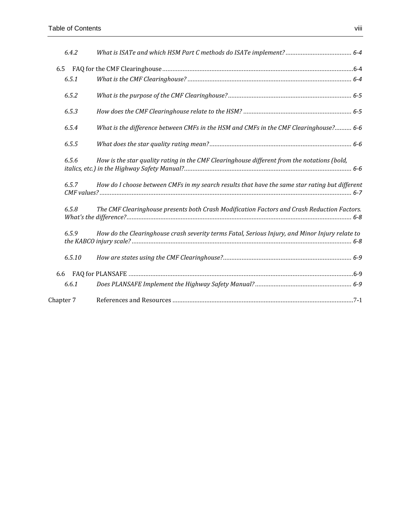| 6.4.2     |                                                                                                 |
|-----------|-------------------------------------------------------------------------------------------------|
| 6.5       |                                                                                                 |
| 6.5.1     |                                                                                                 |
| 6.5.2     |                                                                                                 |
| 6.5.3     |                                                                                                 |
| 6.5.4     | What is the difference between CMFs in the HSM and CMFs in the CMF Clearinghouse? 6-6           |
| 6.5.5     |                                                                                                 |
| 6.5.6     | How is the star quality rating in the CMF Clearinghouse different from the notations (bold,     |
| 6.5.7     | How do I choose between CMFs in my search results that have the same star rating but different  |
| 6.5.8     | The CMF Clearinghouse presents both Crash Modification Factors and Crash Reduction Factors.     |
| 6.5.9     | How do the Clearinghouse crash severity terms Fatal, Serious Injury, and Minor Injury relate to |
| 6.5.10    |                                                                                                 |
| 6.6       |                                                                                                 |
| 6.6.1     |                                                                                                 |
| Chapter 7 |                                                                                                 |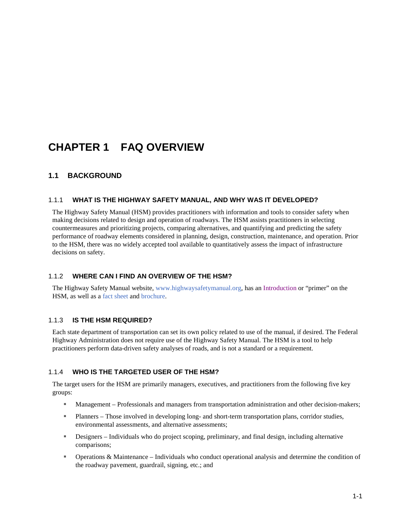## <span id="page-9-0"></span>**CHAPTER 1 FAQ OVERVIEW**

## <span id="page-9-1"></span>**1.1 BACKGROUND**

#### <span id="page-9-2"></span>1.1.1 **WHAT IS THE HIGHWAY SAFETY MANUAL, AND WHY WAS IT DEVELOPED?**

The Highway Safety Manual (HSM) provides practitioners with information and tools to consider safety when making decisions related to design and operation of roadways. The HSM assists practitioners in selecting countermeasures and prioritizing projects, comparing alternatives, and quantifying and predicting the safety performance of roadway elements considered in planning, design, construction, maintenance, and operation. Prior to the HSM, there was no widely accepted tool available to quantitatively assess the impact of infrastructure decisions on safety.

#### <span id="page-9-3"></span>1.1.2 **WHERE CAN I FIND AN OVERVIEW OF THE HSM?**

The Highway Safety Manual website, [www.highwaysafetymanual.org,](http://www.highwaysafetymanual.org/) has an [Introduction](http://www.highwaysafetymanual.org/Documents/HSMP-1.pdf) or "primer" on the HSM, as well as a [fact sheet](http://safety.fhwa.dot.gov/hsm/factsheet/factsheet.pdf) and [brochure.](http://safety.fhwa.dot.gov/hsm/brochure/brochure.pdf)

#### <span id="page-9-4"></span>1.1.3 **IS THE HSM REQUIRED?**

Each state department of transportation can set its own policy related to use of the manual, if desired. The Federal Highway Administration does not require use of the Highway Safety Manual. The HSM is a tool to help practitioners perform data-driven safety analyses of roads, and is not a standard or a requirement.

#### <span id="page-9-5"></span>1.1.4 **WHO IS THE TARGETED USER OF THE HSM?**

The target users for the HSM are primarily managers, executives, and practitioners from the following five key groups:

- Management Professionals and managers from transportation administration and other decision-makers;
- Planners Those involved in developing long- and short-term transportation plans, corridor studies, environmental assessments, and alternative assessments;
- Designers Individuals who do project scoping, preliminary, and final design, including alternative comparisons;
- Operations & Maintenance Individuals who conduct operational analysis and determine the condition of the roadway pavement, guardrail, signing, etc.; and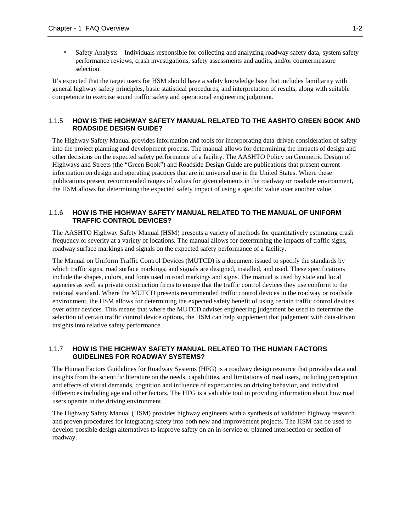Safety Analysts – Individuals responsible for collecting and analyzing roadway safety data, system safety performance reviews, crash investigations, safety assessments and audits, and/or countermeasure selection.

It's expected that the target users for HSM should have a safety knowledge base that includes familiarity with general highway safety principles, basic statistical procedures, and interpretation of results, along with suitable competence to exercise sound traffic safety and operational engineering judgment.

#### <span id="page-10-0"></span>1.1.5 **HOW IS THE HIGHWAY SAFETY MANUAL RELATED TO THE AASHTO GREEN BOOK AND ROADSIDE DESIGN GUIDE?**

The Highway Safety Manual provides information and tools for incorporating data-driven consideration of safety into the project planning and development process. The manual allows for determining the impacts of design and other decisions on the expected safety performance of a facility. The AASHTO Policy on Geometric Design of Highways and Streets (the "Green Book") and Roadside Design Guide are publications that present current information on design and operating practices that are in universal use in the United States. Where these publications present recommended ranges of values for given elements in the roadway or roadside environment, the HSM allows for determining the expected safety impact of using a specific value over another value.

#### <span id="page-10-1"></span>1.1.6 **HOW IS THE HIGHWAY SAFETY MANUAL RELATED TO THE MANUAL OF UNIFORM TRAFFIC CONTROL DEVICES?**

The AASHTO Highway Safety Manual (HSM) presents a variety of methods for quantitatively estimating crash frequency or severity at a variety of locations. The manual allows for determining the impacts of traffic signs, roadway surface markings and signals on the expected safety performance of a facility.

The Manual on Uniform Traffic Control Devices (MUTCD) is a document issued to specify the standards by which [traffic signs,](https://en.wikipedia.org/wiki/Traffic_sign) [road surface markings,](https://en.wikipedia.org/wiki/Road_surface_marking) and [signals](https://en.wikipedia.org/wiki/Traffic_light) are designed, installed, and used. These specifications include the shapes, colors, and fonts used in road markings and signs. The manual is used by state and local agencies as well as private construction firms to ensure that the traffic control devices they use conform to the national standard. Where the MUTCD presents recommended traffic control devices in the roadway or roadside environment, the HSM allows for determining the expected safety benefit of using certain traffic control devices over other devices. This means that where the MUTCD advises engineering judgement be used to determine the selection of certain traffic control device options, the HSM can help supplement that judgement with data-driven insights into relative safety performance.

#### <span id="page-10-2"></span>1.1.7 **HOW IS THE HIGHWAY SAFETY MANUAL RELATED TO THE HUMAN FACTORS GUIDELINES FOR ROADWAY SYSTEMS?**

The Human Factors Guidelines for Roadway Systems (HFG) is a roadway design resource that provides data and insights from the scientific literature on the needs, capabilities, and limitations of road users, including perception and effects of visual demands, cognition and influence of expectancies on driving behavior, and individual differences including age and other factors. The HFG is a valuable tool in providing information about how road users operate in the driving environment.

The Highway Safety Manual (HSM) provides highway engineers with a synthesis of validated highway research and proven procedures for integrating safety into both new and improvement projects. The HSM can be used to develop possible design alternatives to improve safety on an in-service or planned intersection or section of roadway.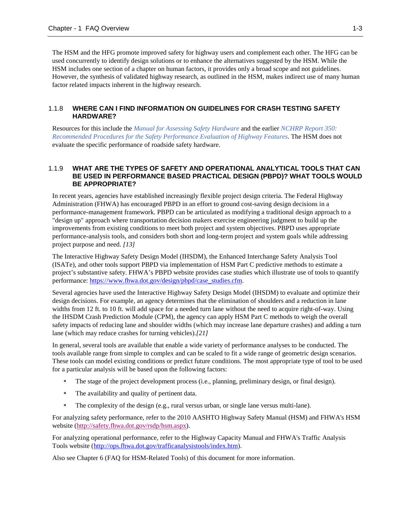The HSM and the HFG promote improved safety for highway users and complement each other. The HFG can be used concurrently to identify design solutions or to enhance the alternatives suggested by the HSM. While the HSM includes one section of a chapter on human factors, it provides only a broad scope and not guidelines. However, the synthesis of validated highway research, as outlined in the HSM, makes indirect use of many human factor related impacts inherent in the highway research.

#### <span id="page-11-0"></span>1.1.8 **WHERE CAN I FIND INFORMATION ON GUIDELINES FOR CRASH TESTING SAFETY HARDWARE?**

Resources for this include the *[Manual for Assessing Safety Hardware](https://bookstore.transportation.org/collection_detail.aspx?ID=34)* and the earlier *[NCHRP Report 350:](http://onlinepubs.trb.org/onlinepubs/nchrp/nchrp_rpt_350-a.pdf)  [Recommended Procedures for the Safety Performance Evaluation of Highway Features](http://onlinepubs.trb.org/onlinepubs/nchrp/nchrp_rpt_350-a.pdf)*. The HSM does not evaluate the specific performance of roadside safety hardware.

#### <span id="page-11-1"></span>1.1.9 **WHAT ARE THE TYPES OF SAFETY AND OPERATIONAL ANALYTICAL TOOLS THAT CAN BE USED IN PERFORMANCE BASED PRACTICAL DESIGN (PBPD)? WHAT TOOLS WOULD BE APPROPRIATE?**

In recent years, agencies have established increasingly flexible project design criteria. The Federal Highway Administration (FHWA) has encouraged PBPD in an effort to ground cost-saving design decisions in a performance-management framework. PBPD can be articulated as modifying a traditional design approach to a "design up" approach where transportation decision makers exercise engineering judgment to build up the improvements from existing conditions to meet both project and system objectives. PBPD uses appropriate performance-analysis tools, and considers both short and long-term project and system goals while addressing project purpose and need. *[13]*

The Interactive Highway Safety Design Model (IHSDM), the Enhanced Interchange Safety Analysis Tool (ISATe), and other tools support PBPD via implementation of HSM Part C predictive methods to estimate a project's substantive safety. FHWA's PBPD website provides case studies which illustrate use of tools to quantify performance: [https://www.fhwa.dot.gov/design/pbpd/case\\_studies.cfm.](https://www.fhwa.dot.gov/design/pbpd/case_studies.cfm)

Several agencies have used the Interactive Highway Safety Design Model (IHSDM) to evaluate and optimize their design decisions. For example, an agency determines that the elimination of shoulders and a reduction in lane widths from 12 ft. to 10 ft. will add space for a needed turn lane without the need to acquire right-of-way. Using the IHSDM Crash Prediction Module (CPM), the agency can apply HSM Part C methods to weigh the overall safety impacts of reducing lane and shoulder widths (which may increase lane departure crashes) and adding a turn lane (which may reduce crashes for turning vehicles).*[21]*

In general, several tools are available that enable a wide variety of performance analyses to be conducted. The tools available range from simple to complex and can be scaled to fit a wide range of geometric design scenarios. These tools can model existing conditions or predict future conditions. The most appropriate type of tool to be used for a particular analysis will be based upon the following factors:

- The stage of the project development process (i.e., planning, preliminary design, or final design).
- The availability and quality of pertinent data.
- The complexity of the design (e.g., rural versus urban, or single lane versus multi-lane).

For analyzing safety performance, refer to the 2010 AASHTO Highway Safety Manual (HSM) and FHWA's HSM website [\(http://safety.fhwa.dot.gov/rsdp/hsm.aspx\)](http://safety.fhwa.dot.gov/rsdp/hsm.aspx).

For analyzing operational performance, refer to the Highway Capacity Manual and FHWA's Traffic Analysis Tools website [\(http://ops.fhwa.dot.gov/trafficanalysistools/index.htm\)](http://ops.fhwa.dot.gov/trafficanalysistools/index.htm).

Also see Chapter 6 (FAQ for HSM-Related Tools) of this document for more information.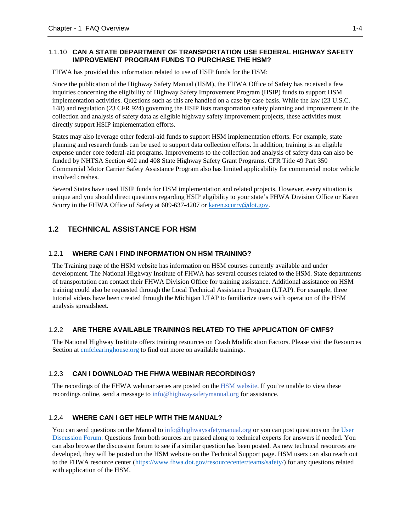### <span id="page-12-0"></span>1.1.10 **CAN A STATE DEPARTMENT OF TRANSPORTATION USE FEDERAL HIGHWAY SAFETY IMPROVEMENT PROGRAM FUNDS TO PURCHASE THE HSM?**

FHWA has provided this information related to use of HSIP funds for the HSM:

Since the publication of the Highway Safety Manual (HSM), the FHWA Office of Safety has received a few inquiries concerning the eligibility of Highway Safety Improvement Program (HSIP) funds to support HSM implementation activities. Questions such as this are handled on a case by case basis. While the law (23 U.S.C. 148) and regulation (23 CFR 924) governing the HSIP lists transportation safety planning and improvement in the collection and analysis of safety data as eligible highway safety improvement projects, these activities must directly support HSIP implementation efforts.

States may also leverage other federal-aid funds to support HSM implementation efforts. For example, state planning and research funds can be used to support data collection efforts. In addition, training is an eligible expense under core federal-aid programs. Improvements to the collection and analysis of safety data can also be funded by NHTSA Section 402 and 408 State Highway Safety Grant Programs. CFR Title 49 Part 350 Commercial Motor Carrier Safety Assistance Program also has limited applicability for commercial motor vehicle involved crashes.

Several States have used HSIP funds for HSM implementation and related projects. However, every situation is unique and you should direct questions regarding HSIP eligibility to your state's FHWA Division Office or Karen Scurry in the FHWA Office of Safety at 609-637-4207 o[r karen.scurry@dot.gov.](mailto:karen.scurry@dot.gov)

## <span id="page-12-1"></span>**1.2 TECHNICAL ASSISTANCE FOR HSM**

## <span id="page-12-2"></span>1.2.1 **WHERE CAN I FIND INFORMATION ON HSM TRAINING?**

The [Training](http://www.highwaysafetymanual.org/Pages/Training.aspx) page of the HSM website has information on HSM courses currently available and under development. Th[e National Highway Institute o](https://www.nhi.fhwa.dot.gov/default.aspx)f FHWA has several courses related to the HSM. State departments of transportation can contact their FHWA Division Office for training assistance. Additional assistance on HSM training could also be requested through the Local Technical Assistance Program (LTAP). For example, three tutorial videos have been created through the Michigan LTAP to familiarize users with operation of the HSM analysis spreadsheet.

## <span id="page-12-3"></span>1.2.2 **ARE THERE AVAILABLE TRAININGS RELATED TO THE APPLICATION OF CMFS?**

The National Highway Institute offers training resources on Crash Modification Factors. Please visit the [Resources](http://www.cmfclearinghouse.org/resources.cfm)  [Section](http://www.cmfclearinghouse.org/resources.cfm) at **cmfclearinghouse.org** to find out more on available trainings.

## <span id="page-12-4"></span>1.2.3 **CAN I DOWNLOAD THE FHWA WEBINAR RECORDINGS?**

The recordings of the FHWA webinar series are posted on the [HSM website.](http://www.highwaysafetymanual.org/Pages/FHWAResourceCenterHSMWebinarSeries.aspx) If you're unable to view these recordings online, send a message to [info@highwaysafetymanual.org](mailto:info@highwaysafetymanual.org) for assistance.

## <span id="page-12-5"></span>1.2.4 **WHERE CAN I GET HELP WITH THE MANUAL?**

You can send questions on the Manual t[o info@highwaysafetymanual.org](mailto:info@highwaysafetymanual.org) or you can post questions on the User [Discussion Forum.](http://www.hsmforum.org/) Questions from both sources are passed along to technical experts for answers if needed. You can also browse the discussion forum to see if a similar question has been posted. As new technical resources are developed, they will be posted on the HSM website on the Technical Support page. HSM users can also reach out to the FHWA resource center [\(https://www.fhwa.dot.gov/resourcecenter/teams/safety/\)](https://www.fhwa.dot.gov/resourcecenter/teams/safety/) for any questions related with application of the HSM.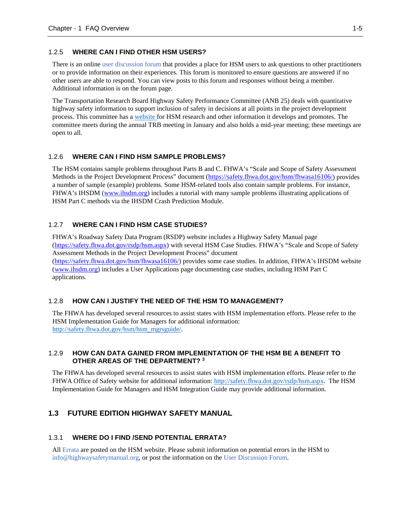#### <span id="page-13-0"></span>1.2.5 **WHERE CAN I FIND OTHER HSM USERS?**

There is an online [user discussion forum t](http://hsmforum.org/index.php)hat provides a place for HSM users to ask questions to other practitioners or to provide information on their experiences. This forum is monitored to ensure questions are answered if no other users are able to respond. You can view posts to this forum and responses without being a member. Additional information is on the forum page.

The Transportation Research Board Highway Safety Performance Committee (ANB 25) deals with quantitative highway safety information to support inclusion of safety in decisions at all points in the project development process. This committee has [a website](http://safetyperformance.org/) for HSM research and other information it develops and promotes. The committee meets during the annual TRB meeting in January and also holds a mid-year meeting; these meetings are open to all.

#### <span id="page-13-1"></span>1.2.6 **WHERE CAN I FIND HSM SAMPLE PROBLEMS?**

The HSM contains sample problems throughout Parts B and C. FHWA's "Scale and Scope of Safety Assessment Methods in the Project Development Process" document [\(https://safety.fhwa.dot.gov/hsm/fhwasa16106/\)](https://safety.fhwa.dot.gov/hsm/fhwasa16106/) provides a number of sample (example) problems. Some HSM-related tools also contain sample problems. For instance, FHWA's IHSDM [\(www.ihsdm.org\)](http://www.ihsdm.org/) includes a tutorial with many sample problems illustrating applications of HSM Part C methods via the IHSDM Crash Prediction Module.

#### <span id="page-13-2"></span>1.2.7 **WHERE CAN I FIND HSM CASE STUDIES?**

FHWA's Roadway Safety Data Program (RSDP) website includes a Highway Safety Manual page [\(https://safety.fhwa.dot.gov/rsdp/hsm.aspx\)](https://safety.fhwa.dot.gov/rsdp/hsm.aspx) with several HSM Case Studies. FHWA's "Scale and Scope of Safety Assessment Methods in the Project Development Process" document [\(https://safety.fhwa.dot.gov/hsm/fhwasa16106/\)](https://safety.fhwa.dot.gov/hsm/fhwasa16106/) provides some case studies. In addition, FHWA's IHSDM website [\(www.ihsdm.org\)](http://www.ihsdm.org/) includes a User Applications page documenting case studies, including HSM Part C applications.

#### <span id="page-13-3"></span>1.2.8 **HOW CAN I JUSTIFY THE NEED OF THE HSM TO MANAGEMENT?**

The FHWA has developed several resources to assist states with HSM implementation efforts. Please refer to the HSM Implementation Guide for Managers for additional information: [http://safety.fhwa.dot.gov/hsm/hsm\\_mgrsguide/.](http://safety.fhwa.dot.gov/hsm/hsm_mgrsguide/)

#### <span id="page-13-4"></span>1.2.9 **HOW CAN DATA GAINED FROM IMPLEMENTATION OF THE HSM BE A BENEFIT TO OTHER AREAS OF THE DEPARTMENT? 3**

The FHWA has developed several resources to assist states with HSM implementation efforts. Please refer to the FHWA Office of Safety website for additional information: [http://safety.fhwa.dot.gov/rsdp/hsm.aspx.](http://safety.fhwa.dot.gov/rsdp/hsm.aspx) The HSM Implementation Guide for Managers and HSM Integration Guide may provide additional information.

#### <span id="page-13-6"></span><span id="page-13-5"></span>**1.3 FUTURE EDITION HIGHWAY SAFETY MANUAL**

#### 1.3.1 **WHERE DO I FIND /SEND POTENTIAL ERRATA?**

All [Errata](http://downloads.transportation.org/HSM-1-M-Errata.pdf) are posted on the HSM website. Please submit information on potential errors in the HSM to [info@highwaysafetymanual.org,](mailto:info@highwaysafetymanual.org) or post the information on the [User Discussion Forum.](http://www.highwaysafetymanual.org/Pages/UserDiscussionForum.aspx)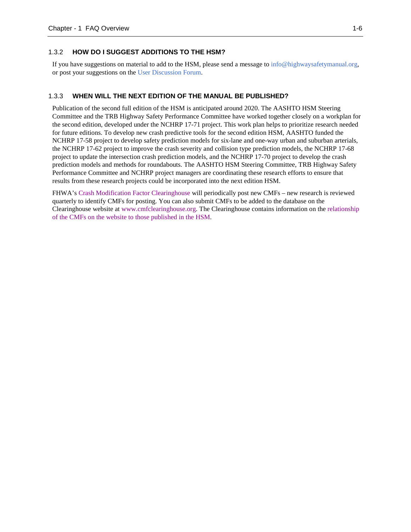#### <span id="page-14-0"></span>1.3.2 **HOW DO I SUGGEST ADDITIONS TO THE HSM?**

If you have suggestions on material to add to the HSM, please send a message to [info@highwaysafetymanual.org,](mailto:info@highwaysafetymanual.org) or post your suggestions on the [User Discussion Forum.](http://www.highwaysafetymanual.org/Pages/UserDiscussionForum.aspx)

#### <span id="page-14-1"></span>1.3.3 **WHEN WILL THE NEXT EDITION OF THE MANUAL BE PUBLISHED?**

Publication of the second full edition of the HSM is anticipated around 2020. The AASHTO HSM Steering Committee and the TRB Highway Safety Performance Committee have worked together closely on a workplan for the second edition, developed under the NCHRP 17-71 project. This work plan helps to prioritize research needed for future editions. To develop new crash predictive tools for the second edition HSM, AASHTO funded the NCHRP 17-58 project to develop safety prediction models for six-lane and one-way urban and suburban arterials, the NCHRP 17-62 project to improve the crash severity and collision type prediction models, the NCHRP 17-68 project to update the intersection crash prediction models, and the NCHRP 17-70 project to develop the crash prediction models and methods for roundabouts. The AASHTO HSM Steering Committee, TRB Highway Safety Performance Committee and NCHRP project managers are coordinating these research efforts to ensure that results from these research projects could be incorporated into the next edition HSM.

FHWA's [Crash Modification Factor Clearinghouse](http://www.cmfclearinghouse.org/) will periodically post new CMFs – new research is reviewed quarterly to identify CMFs for posting. You can also submit CMFs to be added to the database on the Clearinghouse website at [www.cmfclearinghouse.org.](http://www.cmfclearinghouse.org/) The Clearinghouse contains information on the [relationship](http://www.cmfclearinghouse.org/hsm.cfm)  [of the CMFs on the website to those published in the HSM.](http://www.cmfclearinghouse.org/hsm.cfm)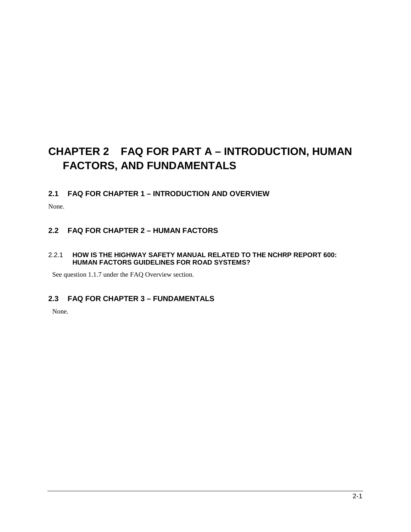## <span id="page-15-0"></span>**CHAPTER 2 FAQ FOR PART A – INTRODUCTION, HUMAN FACTORS, AND FUNDAMENTALS**

## <span id="page-15-1"></span>**2.1 FAQ FOR CHAPTER 1 – INTRODUCTION AND OVERVIEW**

None.

## <span id="page-15-2"></span>**2.2 FAQ FOR CHAPTER 2 – HUMAN FACTORS**

## <span id="page-15-3"></span>2.2.1 **HOW IS THE HIGHWAY SAFETY MANUAL RELATED TO THE NCHRP REPORT 600: HUMAN FACTORS GUIDELINES FOR ROAD SYSTEMS?**

<span id="page-15-4"></span>See question 1.1.7 under the FAQ Overview section.

## **2.3 FAQ FOR CHAPTER 3 – FUNDAMENTALS**

None.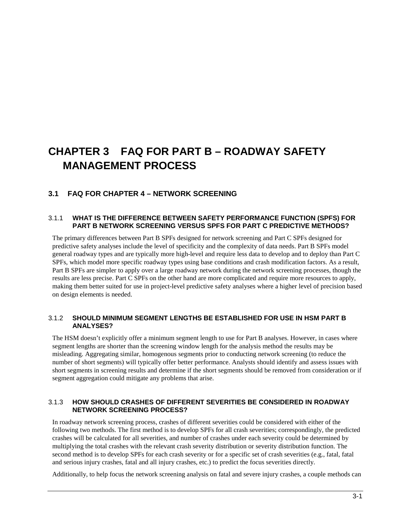## <span id="page-16-0"></span>**CHAPTER 3 FAQ FOR PART B – ROADWAY SAFETY MANAGEMENT PROCESS**

## <span id="page-16-1"></span>**3.1 FAQ FOR CHAPTER 4 – NETWORK SCREENING**

#### <span id="page-16-2"></span>3.1.1 **WHAT IS THE DIFFERENCE BETWEEN SAFETY PERFORMANCE FUNCTION (SPFS) FOR PART B NETWORK SCREENING VERSUS SPFS FOR PART C PREDICTIVE METHODS?**

The primary differences between Part B SPFs designed for network screening and Part C SPFs designed for predictive safety analyses include the level of specificity and the complexity of data needs. Part B SPFs model general roadway types and are typically more high-level and require less data to develop and to deploy than Part C SPFs, which model more specific roadway types using base conditions and crash modification factors. As a result, Part B SPFs are simpler to apply over a large roadway network during the network screening processes, though the results are less precise. Part C SPFs on the other hand are more complicated and require more resources to apply, making them better suited for use in project-level predictive safety analyses where a higher level of precision based on design elements is needed.

### <span id="page-16-3"></span>3.1.2 **SHOULD MINIMUM SEGMENT LENGTHS BE ESTABLISHED FOR USE IN HSM PART B ANALYSES?**

The HSM doesn't explicitly offer a minimum segment length to use for Part B analyses. However, in cases where segment lengths are shorter than the screening window length for the analysis method the results may be misleading. Aggregating similar, homogenous segments prior to conducting network screening (to reduce the number of short segments) will typically offer better performance. Analysts should identify and assess issues with short segments in screening results and determine if the short segments should be removed from consideration or if segment aggregation could mitigate any problems that arise.

#### <span id="page-16-4"></span>3.1.3 **HOW SHOULD CRASHES OF DIFFERENT SEVERITIES BE CONSIDERED IN ROADWAY NETWORK SCREENING PROCESS?**

In roadway network screening process, crashes of different severities could be considered with either of the following two methods. The first method is to develop SPFs for all crash severities; correspondingly, the predicted crashes will be calculated for all severities, and number of crashes under each severity could be determined by multiplying the total crashes with the relevant crash severity distribution or severity distribution function. The second method is to develop SPFs for each crash severity or for a specific set of crash severities (e.g., fatal, fatal and serious injury crashes, fatal and all injury crashes, etc.) to predict the focus severities directly.

Additionally, to help focus the network screening analysis on fatal and severe injury crashes, a couple methods can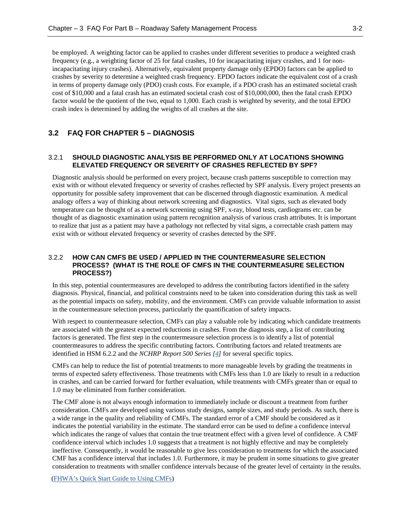be employed. A weighting factor can be applied to crashes under different severities to produce a weighted crash frequency (e.g., a weighting factor of 25 for fatal crashes, 10 for incapacitating injury crashes, and 1 for nonincapacitating injury crashes). Alternatively, equivalent property damage only (EPDO) factors can be applied to crashes by severity to determine a weighted crash frequency. EPDO factors indicate the equivalent cost of a crash in terms of property damage only (PDO) crash costs. For example, if a PDO crash has an estimated societal crash cost of \$10,000 and a fatal crash has an estimated societal crash cost of \$10,000,000, then the fatal crash EPDO factor would be the quotient of the two, equal to 1,000. Each crash is weighted by severity, and the total EPDO crash index is determined by adding the weights of all crashes at the site.

#### <span id="page-17-1"></span><span id="page-17-0"></span>**3.2 FAQ FOR CHAPTER 5 – DIAGNOSIS**

#### 3.2.1 **SHOULD DIAGNOSTIC ANALYSIS BE PERFORMED ONLY AT LOCATIONS SHOWING ELEVATED FREQUENCY OR SEVERITY OF CRASHES REFLECTED BY SPF?**

Diagnostic analysis should be performed on every project, because crash patterns susceptible to correction may exist with or without elevated frequency or severity of crashes reflected by SPF analysis. Every project presents an opportunity for possible safety improvement that can be discerned through diagnostic examination. A medical analogy offers a way of thinking about network screening and diagnostics. Vital signs, such as elevated body temperature can be thought of as a network screening using SPF, x-ray, blood tests, cardiograms etc. can be thought of as diagnostic examination using pattern recognition analysis of various crash attributes. It is important to realize that just as a patient may have a pathology not reflected by vital signs, a correctable crash pattern may exist with or without elevated frequency or severity of crashes detected by the SPF.

#### <span id="page-17-2"></span>3.2.2 **HOW CAN CMFS BE USED / APPLIED IN THE COUNTERMEASURE SELECTION PROCESS? (WHAT IS THE ROLE OF CMFS IN THE COUNTERMEASURE SELECTION PROCESS?)**

In this step, potential countermeasures are developed to address the contributing factors identified in the safety diagnosis. Physical, financial, and political constraints need to be taken into consideration during this task as well as the potential impacts on safety, mobility, and the environment. CMFs can provide valuable information to assist in the countermeasure selection process, particularly the quantification of safety impacts.

With respect to countermeasure selection, CMFs can play a valuable role by indicating which candidate treatments are associated with the greatest expected reductions in crashes. From the diagnosis step, a list of contributing factors is generated. The first step in the countermeasure selection process is to identify a list of potential countermeasures to address the specific contributing factors. Contributing factors and related treatments are identified in HSM 6.2.2 and the *NCHRP Report 500 Series [\[4\]](#page-52-1)* for several specific topics.

CMFs can help to reduce the list of potential treatments to more manageable levels by grading the treatments in terms of expected safety effectiveness. Those treatments with CMFs less than 1.0 are likely to result in a reduction in crashes, and can be carried forward for further evaluation, while treatments with CMFs greater than or equal to 1.0 may be eliminated from further consideration.

The CMF alone is not always enough information to immediately include or discount a treatment from further consideration. CMFs are developed using various study designs, sample sizes, and study periods. As such, there is a wide range in the quality and reliability of CMFs. The standard error of a CMF should be considered as it indicates the potential variability in the estimate. The standard error can be used to define a confidence interval which indicates the range of values that contain the true treatment effect with a given level of confidence. A CMF confidence interval which includes 1.0 suggests that a treatment is not highly effective and may be completely ineffective. Consequently, it would be reasonable to give less consideration to treatments for which the associated CMF has a confidence interval that includes 1.0. Furthermore, it may be prudent in some situations to give greater consideration to treatments with smaller confidence intervals because of the greater level of certainty in the results.

[\(FHWA's Quick Start Guide to Using CMFs\)](https://safety.fhwa.dot.gov/rsdp/downloads/fhwasa17007.pdf)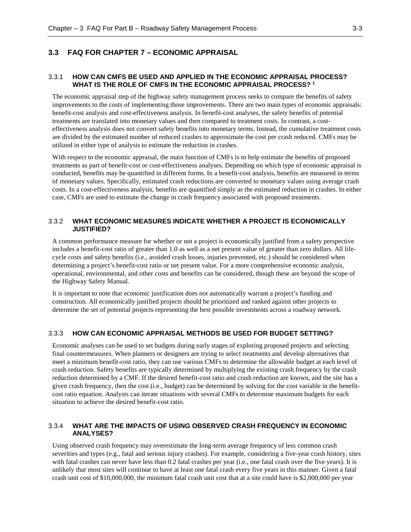### <span id="page-18-1"></span><span id="page-18-0"></span>**3.3 FAQ FOR CHAPTER 7 – ECONOMIC APPRAISAL**

#### 3.3.1 **HOW CAN CMFS BE USED AND APPLIED IN THE ECONOMIC APPRAISAL PROCESS? WHAT IS THE ROLE OF CMFS IN THE ECONOMIC APPRAISAL PROCESS? 1**

The economic appraisal step of the highway safety management process seeks to compare the benefits of safety improvements to the costs of implementing those improvements. There are two main types of economic appraisals: benefit-cost analysis and cost-effectiveness analysis. In benefit-cost analyses, the safety benefits of potential treatments are translated into monetary values and then compared to treatment costs. In contrast, a costeffectiveness analysis does not convert safety benefits into monetary terms. Instead, the cumulative treatment costs are divided by the estimated number of reduced crashes to approximate the cost per crash reduced. CMFs may be utilized in either type of analysis to estimate the reduction in crashes.

With respect to the economic appraisal, the main function of CMFs is to help estimate the benefits of proposed treatments as part of benefit-cost or cost-effectiveness analyses. Depending on which type of economic appraisal is conducted, benefits may be quantified in different forms. In a benefit-cost analysis, benefits are measured in terms of monetary values. Specifically, estimated crash reductions are converted to monetary values using average crash costs. In a cost-effectiveness analysis, benefits are quantified simply as the estimated reduction in crashes. In either case, CMFs are used to estimate the change in crash frequency associated with proposed treatments.

#### <span id="page-18-2"></span>3.3.2 **WHAT ECONOMIC MEASURES INDICATE WHETHER A PROJECT IS ECONOMICALLY JUSTIFIED?**

A common performance measure for whether or not a project is economically justified from a safety perspective includes a benefit-cost ratio of greater than 1.0 as well as a net present value of greater than zero dollars. All lifecycle costs and safety benefits (i.e., avoided crash losses, injuries prevented, etc.) should be considered when determining a project's benefit-cost ratio or net present value. For a more comprehensive economic analysis, operational, environmental, and other costs and benefits can be considered, though these are beyond the scope of the Highway Safety Manual.

It is important to note that economic justification does not automatically warrant a project's funding and construction. All economically justified projects should be prioritized and ranked against other projects to determine the set of potential projects representing the best possible investments across a roadway network.

#### <span id="page-18-3"></span>3.3.3 **HOW CAN ECONOMIC APPRAISAL METHODS BE USED FOR BUDGET SETTING?**

Economic analyses can be used to set budgets during early stages of exploring proposed projects and selecting final countermeasures. When planners or designers are trying to select treatments and develop alternatives that meet a minimum benefit-cost ratio, they can use various CMFs to determine the allowable budget at each level of crash reduction. Safety benefits are typically determined by multiplying the existing crash frequency by the crash reduction determined by a CMF. If the desired benefit-cost ratio and crash reduction are known, and the site has a given crash frequency, then the cost (i.e., budget) can be determined by solving for the cost variable in the benefitcost ratio equation. Analysts can iterate situations with several CMFs to determine maximum budgets for each situation to achieve the desired benefit-cost ratio.

#### <span id="page-18-4"></span>3.3.4 **WHAT ARE THE IMPACTS OF USING OBSERVED CRASH FREQUENCY IN ECONOMIC ANALYSES?**

Using observed crash frequency may overestimate the long-term average frequency of less common crash severities and types (e.g., fatal and serious injury crashes). For example, considering a five-year crash history, sites with fatal crashes can never have less than 0.2 fatal crashes per year (i.e., one fatal crash over the five years). It is unlikely that most sites will continue to have at least one fatal crash every five years in this manner. Given a fatal crash unit cost of \$10,000,000, the minimum fatal crash unit cost that at a site could have is \$2,000,000 per year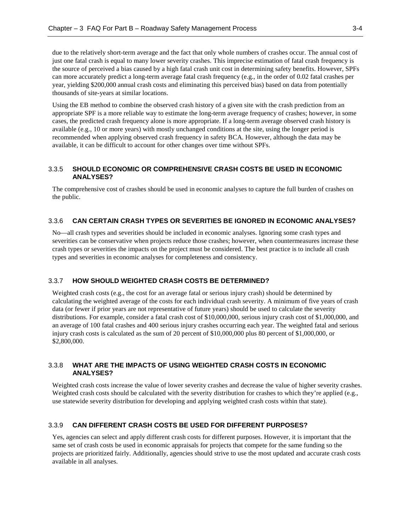due to the relatively short-term average and the fact that only whole numbers of crashes occur. The annual cost of just one fatal crash is equal to many lower severity crashes. This imprecise estimation of fatal crash frequency is the source of perceived a bias caused by a high fatal crash unit cost in determining safety benefits. However, SPFs can more accurately predict a long-term average fatal crash frequency (e.g., in the order of 0.02 fatal crashes per year, yielding \$200,000 annual crash costs and eliminating this perceived bias) based on data from potentially thousands of site-years at similar locations.

Using the EB method to combine the observed crash history of a given site with the crash prediction from an appropriate SPF is a more reliable way to estimate the long-term average frequency of crashes; however, in some cases, the predicted crash frequency alone is more appropriate. If a long-term average observed crash history is available (e.g., 10 or more years) with mostly unchanged conditions at the site, using the longer period is recommended when applying observed crash frequency in safety BCA. However, although the data may be available, it can be difficult to account for other changes over time without SPFs.

#### <span id="page-19-0"></span>3.3.5 **SHOULD ECONOMIC OR COMPREHENSIVE CRASH COSTS BE USED IN ECONOMIC ANALYSES?**

The comprehensive cost of crashes should be used in economic analyses to capture the full burden of crashes on the public.

#### <span id="page-19-1"></span>3.3.6 **CAN CERTAIN CRASH TYPES OR SEVERITIES BE IGNORED IN ECONOMIC ANALYSES?**

No—all crash types and severities should be included in economic analyses. Ignoring some crash types and severities can be conservative when projects reduce those crashes; however, when countermeasures increase these crash types or severities the impacts on the project must be considered. The best practice is to include all crash types and severities in economic analyses for completeness and consistency.

#### <span id="page-19-2"></span>3.3.7 **HOW SHOULD WEIGHTED CRASH COSTS BE DETERMINED?**

Weighted crash costs (e.g., the cost for an average fatal or serious injury crash) should be determined by calculating the weighted average of the costs for each individual crash severity. A minimum of five years of crash data (or fewer if prior years are not representative of future years) should be used to calculate the severity distributions. For example, consider a fatal crash cost of \$10,000,000, serious injury crash cost of \$1,000,000, and an average of 100 fatal crashes and 400 serious injury crashes occurring each year. The weighted fatal and serious injury crash costs is calculated as the sum of 20 percent of \$10,000,000 plus 80 percent of \$1,000,000, or \$2,800,000.

#### <span id="page-19-3"></span>3.3.8 **WHAT ARE THE IMPACTS OF USING WEIGHTED CRASH COSTS IN ECONOMIC ANALYSES?**

Weighted crash costs increase the value of lower severity crashes and decrease the value of higher severity crashes. Weighted crash costs should be calculated with the severity distribution for crashes to which they're applied (e.g., use statewide severity distribution for developing and applying weighted crash costs within that state).

#### <span id="page-19-4"></span>3.3.9 **CAN DIFFERENT CRASH COSTS BE USED FOR DIFFERENT PURPOSES?**

Yes, agencies can select and apply different crash costs for different purposes. However, it is important that the same set of crash costs be used in economic appraisals for projects that compete for the same funding so the projects are prioritized fairly. Additionally, agencies should strive to use the most updated and accurate crash costs available in all analyses.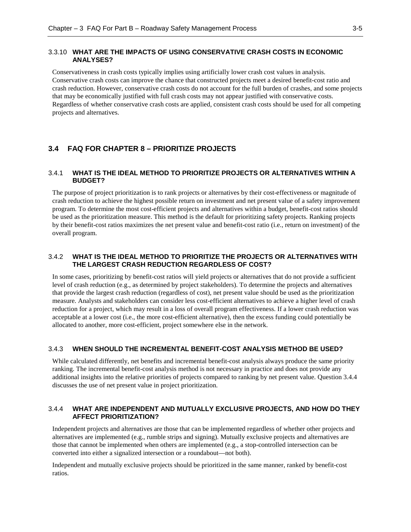#### <span id="page-20-0"></span>3.3.10 **WHAT ARE THE IMPACTS OF USING CONSERVATIVE CRASH COSTS IN ECONOMIC ANALYSES?**

Conservativeness in crash costs typically implies using artificially lower crash cost values in analysis. Conservative crash costs can improve the chance that constructed projects meet a desired benefit-cost ratio and crash reduction. However, conservative crash costs do not account for the full burden of crashes, and some projects that may be economically justified with full crash costs may not appear justified with conservative costs. Regardless of whether conservative crash costs are applied, consistent crash costs should be used for all competing projects and alternatives.

## <span id="page-20-2"></span><span id="page-20-1"></span>**3.4 FAQ FOR CHAPTER 8 – PRIORITIZE PROJECTS**

#### 3.4.1 **WHAT IS THE IDEAL METHOD TO PRIORITIZE PROJECTS OR ALTERNATIVES WITHIN A BUDGET?**

The purpose of project prioritization is to rank projects or alternatives by their cost-effectiveness or magnitude of crash reduction to achieve the highest possible return on investment and net present value of a safety improvement program. To determine the most cost-efficient projects and alternatives within a budget, benefit-cost ratios should be used as the prioritization measure. This method is the default for prioritizing safety projects. Ranking projects by their benefit-cost ratios maximizes the net present value and benefit-cost ratio (i.e., return on investment) of the overall program.

#### <span id="page-20-3"></span>3.4.2 **WHAT IS THE IDEAL METHOD TO PRIORITIZE THE PROJECTS OR ALTERNATIVES WITH THE LARGEST CRASH REDUCTION REGARDLESS OF COST?**

In some cases, prioritizing by benefit-cost ratios will yield projects or alternatives that do not provide a sufficient level of crash reduction (e.g., as determined by project stakeholders). To determine the projects and alternatives that provide the largest crash reduction (regardless of cost), net present value should be used as the prioritization measure. Analysts and stakeholders can consider less cost-efficient alternatives to achieve a higher level of crash reduction for a project, which may result in a loss of overall program effectiveness. If a lower crash reduction was acceptable at a lower cost (i.e., the more cost-efficient alternative), then the excess funding could potentially be allocated to another, more cost-efficient, project somewhere else in the network.

#### <span id="page-20-4"></span>3.4.3 **WHEN SHOULD THE INCREMENTAL BENEFIT-COST ANALYSIS METHOD BE USED?**

While calculated differently, net benefits and incremental benefit-cost analysis always produce the same priority ranking. The incremental benefit-cost analysis method is not necessary in practice and does not provide any additional insights into the relative priorities of projects compared to ranking by net present value. Question 3.4.4 discusses the use of net present value in project prioritization.

#### <span id="page-20-5"></span>3.4.4 **WHAT ARE INDEPENDENT AND MUTUALLY EXCLUSIVE PROJECTS, AND HOW DO THEY AFFECT PRIORITIZATION?**

Independent projects and alternatives are those that can be implemented regardless of whether other projects and alternatives are implemented (e.g., rumble strips and signing). Mutually exclusive projects and alternatives are those that cannot be implemented when others are implemented (e.g., a stop-controlled intersection can be converted into either a signalized intersection or a roundabout—not both).

Independent and mutually exclusive projects should be prioritized in the same manner, ranked by benefit-cost ratios.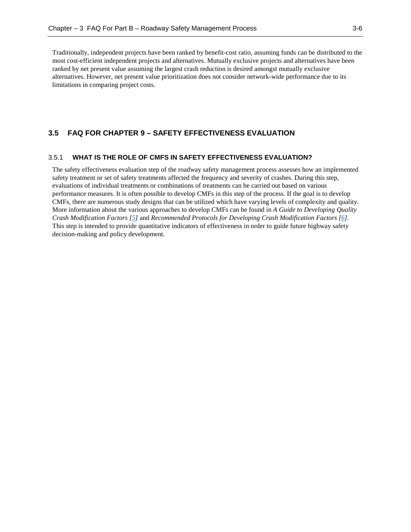Traditionally, independent projects have been ranked by benefit-cost ratio, assuming funds can be distributed to the most cost-efficient independent projects and alternatives. Mutually exclusive projects and alternatives have been ranked by net present value assuming the largest crash reduction is desired amongst mutually exclusive alternatives. However, net present value prioritization does not consider network-wide performance due to its limitations in comparing project costs.

### <span id="page-21-1"></span><span id="page-21-0"></span>**3.5 FAQ FOR CHAPTER 9 – SAFETY EFFECTIVENESS EVALUATION**

#### 3.5.1 **WHAT IS THE ROLE OF CMFS IN SAFETY EFFECTIVENESS EVALUATION?**

The safety effectiveness evaluation step of the roadway safety management process assesses how an implemented safety treatment or set of safety treatments affected the frequency and severity of crashes. During this step, evaluations of individual treatments or combinations of treatments can be carried out based on various performance measures. It is often possible to develop CMFs in this step of the process. If the goal is to develop CMFs, there are numerous study designs that can be utilized which have varying levels of complexity and quality. More information about the various approaches to develop CMFs can be found in *A Guide to Developing Quality Crash Modification Factors [\[5\]](#page-52-2)* and *Recommended Protocols for Developing Crash Modification Factors [\[6\]](#page-52-3)*. This step is intended to provide quantitative indicators of effectiveness in order to guide future highway safety decision-making and policy development.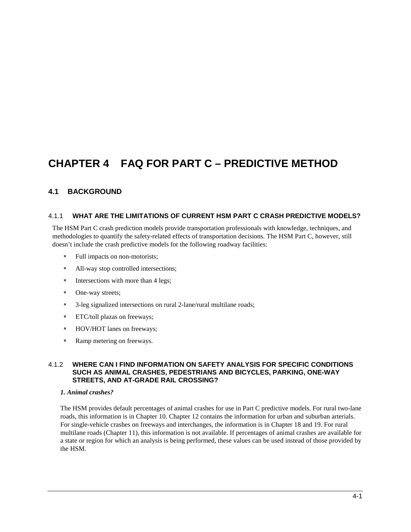## <span id="page-22-0"></span>**CHAPTER 4 FAQ FOR PART C – PREDICTIVE METHOD**

## <span id="page-22-1"></span>**4.1 BACKGROUND**

#### <span id="page-22-2"></span>4.1.1 **WHAT ARE THE LIMITATIONS OF CURRENT HSM PART C CRASH PREDICTIVE MODELS?**

The HSM Part C crash prediction models provide transportation professionals with knowledge, techniques, and methodologies to quantify the safety-related effects of transportation decisions. The HSM Part C, however, still doesn't include the crash predictive models for the following roadway facilities:

- Full impacts on non-motorists;
- All-way stop controlled intersections;
- $\blacksquare$  Intersections with more than 4 legs;
- One-way streets;
- <sup>3</sup>-leg signalized intersections on rural 2-lane/rural multilane roads;
- **ETC/toll plazas on freeways;**
- HOV/HOT lanes on freeways;
- Ramp metering on freeways.

#### <span id="page-22-3"></span>4.1.2 **WHERE CAN I FIND INFORMATION ON SAFETY ANALYSIS FOR SPECIFIC CONDITIONS SUCH AS ANIMAL CRASHES, PEDESTRIANS AND BICYCLES, PARKING, ONE-WAY STREETS, AND AT-GRADE RAIL CROSSING?**

#### *1. Animal crashes?*

The HSM provides default percentages of animal crashes for use in Part C predictive models. For rural two-lane roads, this information is in Chapter 10. Chapter 12 contains the information for urban and suburban arterials. For single-vehicle crashes on freeways and interchanges, the information is in Chapter 18 and 19. For rural multilane roads (Chapter 11), this information is not available. If percentages of animal crashes are available for a state or region for which an analysis is being performed, these values can be used instead of those provided by the HSM.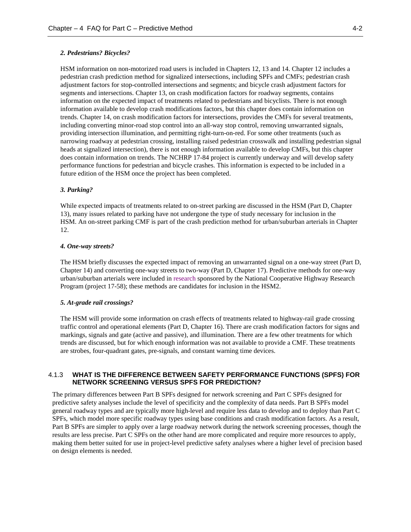#### *2. Pedestrians? Bicycles?*

HSM information on non-motorized road users is included in Chapters 12, 13 and 14. Chapter 12 includes a pedestrian crash prediction method for signalized intersections, including SPFs and CMFs; pedestrian crash adjustment factors for stop-controlled intersections and segments; and bicycle crash adjustment factors for segments and intersections. Chapter 13, on crash modification factors for roadway segments, contains information on the expected impact of treatments related to pedestrians and bicyclists. There is not enough information available to develop crash modifications factors, but this chapter does contain information on trends. Chapter 14, on crash modification factors for intersections, provides the CMFs for several treatments, including converting minor-road stop control into an all-way stop control, removing unwarranted signals, providing intersection illumination, and permitting right-turn-on-red. For some other treatments (such as narrowing roadway at pedestrian crossing, installing raised pedestrian crosswalk and installing pedestrian signal heads at signalized intersection), there is not enough information available to develop CMFs, but this chapter does contain information on trends. The NCHRP 17-84 project is currently underway and will develop safety performance functions for pedestrian and bicycle crashes. This information is expected to be included in a future edition of the HSM once the project has been completed.

#### *3. Parking?*

While expected impacts of treatments related to on-street parking are discussed in the HSM (Part D, Chapter 13), many issues related to parking have not undergone the type of study necessary for inclusion in the HSM. An on-street parking CMF is part of the crash prediction method for urban/suburban arterials in Chapter 12.

#### *4. One-way streets?*

The HSM briefly discusses the expected impact of removing an unwarranted signal on a one-way street (Part D, Chapter 14) and converting one-way streets to two-way (Part D, Chapter 17). Predictive methods for one-way urban/suburban arterials were included i[n research](http://apps.trb.org/cmsfeed/TRBNetProjectDisplay.asp?ProjectID=3180) sponsored by the National Cooperative Highway Research Program (project 17-58); these methods are candidates for inclusion in the HSM2.

#### *5. At-grade rail crossings?*

The HSM will provide some information on crash effects of treatments related to highway-rail grade crossing traffic control and operational elements (Part D, Chapter 16). There are crash modification factors for signs and markings, signals and gate (active and passive), and illumination. There are a few other treatments for which trends are discussed, but for which enough information was not available to provide a CMF. These treatments are strobes, four-quadrant gates, pre-signals, and constant warning time devices.

#### <span id="page-23-0"></span>4.1.3 **WHAT IS THE DIFFERENCE BETWEEN SAFETY PERFORMANCE FUNCTIONS (SPFS) FOR NETWORK SCREENING VERSUS SPFS FOR PREDICTION?**

The primary differences between Part B SPFs designed for network screening and Part C SPFs designed for predictive safety analyses include the level of specificity and the complexity of data needs. Part B SPFs model general roadway types and are typically more high-level and require less data to develop and to deploy than Part C SPFs, which model more specific roadway types using base conditions and crash modification factors. As a result, Part B SPFs are simpler to apply over a large roadway network during the network screening processes, though the results are less precise. Part C SPFs on the other hand are more complicated and require more resources to apply, making them better suited for use in project-level predictive safety analyses where a higher level of precision based on design elements is needed.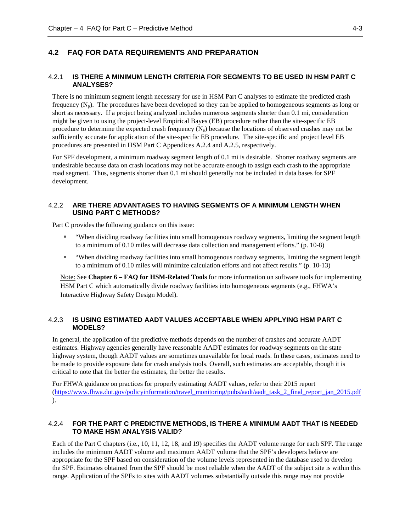## <span id="page-24-1"></span><span id="page-24-0"></span>**4.2 FAQ FOR DATA REQUIREMENTS AND PREPARATION**

#### 4.2.1 **IS THERE A MINIMUM LENGTH CRITERIA FOR SEGMENTS TO BE USED IN HSM PART C ANALYSES?**

There is no minimum segment length necessary for use in HSM Part C analyses to estimate the predicted crash frequency  $(N_p)$ . The procedures have been developed so they can be applied to homogeneous segments as long or short as necessary. If a project being analyzed includes numerous segments shorter than 0.1 mi, consideration might be given to using the project-level Empirical Bayes (EB) procedure rather than the site-specific EB procedure to determine the expected crash frequency  $(N_e)$  because the locations of observed crashes may not be sufficiently accurate for application of the site-specific EB procedure. The site-specific and project level EB procedures are presented in HSM Part C Appendices A.2.4 and A.2.5, respectively.

For SPF development, a minimum roadway segment length of 0.1 mi is desirable. Shorter roadway segments are undesirable because data on crash locations may not be accurate enough to assign each crash to the appropriate road segment. Thus, segments shorter than 0.1 mi should generally not be included in data bases for SPF development.

#### <span id="page-24-2"></span>4.2.2 **ARE THERE ADVANTAGES TO HAVING SEGMENTS OF A MINIMUM LENGTH WHEN USING PART C METHODS?**

Part C provides the following guidance on this issue:

- "When dividing roadway facilities into small homogenous roadway segments, limiting the segment length to a minimum of 0.10 miles will decrease data collection and management efforts." (p. 10-8)
- "When dividing roadway facilities into small homogenous roadway segments, limiting the segment length to a minimum of 0.10 miles will minimize calculation efforts and not affect results." (p. 10-13)

Note: See **Chapter 6 – FAQ for HSM-Related Tools** for more information on software tools for implementing HSM Part C which automatically divide roadway facilities into homogeneous segments (e.g., FHWA's Interactive Highway Safety Design Model).

#### <span id="page-24-3"></span>4.2.3 **IS USING ESTIMATED AADT VALUES ACCEPTABLE WHEN APPLYING HSM PART C MODELS?**

In general, the application of the predictive methods depends on the number of crashes and accurate AADT estimates. Highway agencies generally have reasonable AADT estimates for roadway segments on the state highway system, though AADT values are sometimes unavailable for local roads. In these cases, estimates need to be made to provide exposure data for crash analysis tools. Overall, such estimates are acceptable, though it is critical to note that the better the estimates, the better the results.

For FHWA guidance on practices for properly estimating AADT values, refer to their 2015 report [\(https://www.fhwa.dot.gov/policyinformation/travel\\_monitoring/pubs/aadt/aadt\\_task\\_2\\_final\\_report\\_jan\\_2015.pdf](https://www.fhwa.dot.gov/policyinformation/travel_monitoring/pubs/aadt/aadt_task_2_final_report_jan_2015.pdf) ).

#### <span id="page-24-4"></span>4.2.4 **FOR THE PART C PREDICTIVE METHODS, IS THERE A MINIMUM AADT THAT IS NEEDED TO MAKE HSM ANALYSIS VALID?**

Each of the Part C chapters (i.e., 10, 11, 12, 18, and 19) specifies the AADT volume range for each SPF. The range includes the minimum AADT volume and maximum AADT volume that the SPF's developers believe are appropriate for the SPF based on consideration of the volume levels represented in the database used to develop the SPF. Estimates obtained from the SPF should be most reliable when the AADT of the subject site is within this range. Application of the SPFs to sites with AADT volumes substantially outside this range may not provide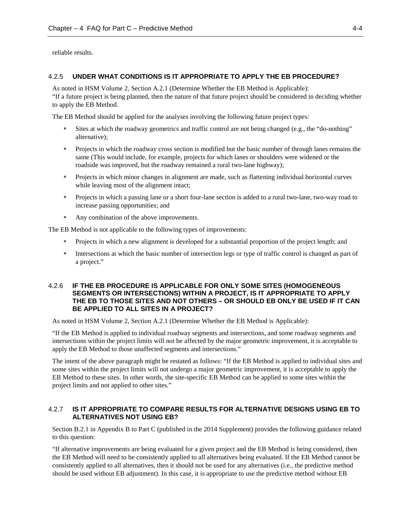<span id="page-25-0"></span>reliable results.

#### 4.2.5 **UNDER WHAT CONDITIONS IS IT APPROPRIATE TO APPLY THE EB PROCEDURE?**

As noted in HSM Volume 2, Section A.2.1 (Determine Whether the EB Method is Applicable): "If a future project is being planned, then the nature of that future project should be considered in deciding whether to apply the EB Method.

The EB Method should be applied for the analyses involving the following future project types:

- Sites at which the roadway geometrics and traffic control are not being changed (e.g., the "do-nothing" alternative);
- **Projects in which the roadway cross section is modified but the basic number of through lanes remains the** same (This would include, for example, projects for which lanes or shoulders were widened or the roadside was improved, but the roadway remained a rural two-lane highway);
- Projects in which minor changes in alignment are made, such as flattening individual horizontal curves while leaving most of the alignment intact;
- Projects in which a passing lane or a short four-lane section is added to a rural two-lane, two-way road to increase passing opportunities; and
- Any combination of the above improvements.

The EB Method is not applicable to the following types of improvements:

- Projects in which a new alignment is developed for a substantial proportion of the project length; and
- Intersections at which the basic number of intersection legs or type of traffic control is changed as part of a project."

#### <span id="page-25-1"></span>4.2.6 **IF THE EB PROCEDURE IS APPLICABLE FOR ONLY SOME SITES (HOMOGENEOUS SEGMENTS OR INTERSECTIONS) WITHIN A PROJECT, IS IT APPROPRIATE TO APPLY THE EB TO THOSE SITES AND NOT OTHERS – OR SHOULD EB ONLY BE USED IF IT CAN BE APPLIED TO ALL SITES IN A PROJECT?**

As noted in HSM Volume 2, Section A.2.1 (Determine Whether the EB Method is Applicable):

"If the EB Method is applied to individual roadway segments and intersections, and some roadway segments and intersections within the project limits will not be affected by the major geometric improvement, it is acceptable to apply the EB Method to those unaffected segments and intersections."

The intent of the above paragraph might be restated as follows: "If the EB Method is applied to individual sites and some sites within the project limits will not undergo a major geometric improvement, it is acceptable to apply the EB Method to these sites. In other words, the site-specific EB Method can be applied to some sites within the project limits and not applied to other sites."

#### <span id="page-25-2"></span>4.2.7 **IS IT APPROPRIATE TO COMPARE RESULTS FOR ALTERNATIVE DESIGNS USING EB TO ALTERNATIVES NOT USING EB?**

Section B.2.1 in Appendix B to Part C (published in the 2014 Supplement) provides the following guidance related to this question:

"If alternative improvements are being evaluated for a given project and the EB Method is being considered, then the EB Method will need to be consistently applied to all alternatives being evaluated. If the EB Method cannot be consistently applied to all alternatives, then it should not be used for any alternatives (i.e., the predictive method should be used without EB adjustment). In this case, it is appropriate to use the predictive method without EB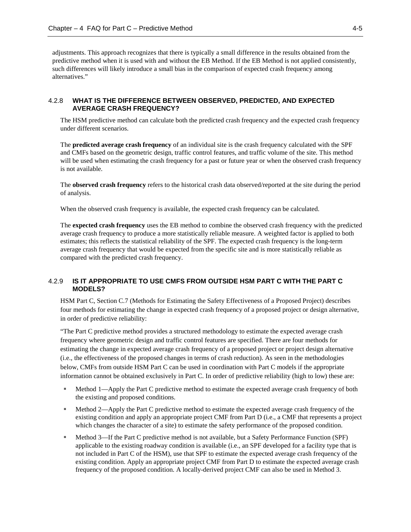adjustments. This approach recognizes that there is typically a small difference in the results obtained from the predictive method when it is used with and without the EB Method. If the EB Method is not applied consistently, such differences will likely introduce a small bias in the comparison of expected crash frequency among alternatives."

#### <span id="page-26-0"></span>4.2.8 **WHAT IS THE DIFFERENCE BETWEEN OBSERVED, PREDICTED, AND EXPECTED AVERAGE CRASH FREQUENCY?**

The HSM predictive method can calculate both the predicted crash frequency and the expected crash frequency under different scenarios.

The **predicted average crash frequency** of an individual site is the crash frequency calculated with the SPF and CMFs based on the geometric design, traffic control features, and traffic volume of the site. This method will be used when estimating the crash frequency for a past or future year or when the observed crash frequency is not available.

The **observed crash frequency** refers to the historical crash data observed/reported at the site during the period of analysis.

When the observed crash frequency is available, the expected crash frequency can be calculated.

The **expected crash frequency** uses the EB method to combine the observed crash frequency with the predicted average crash frequency to produce a more statistically reliable measure. A weighted factor is applied to both estimates; this reflects the statistical reliability of the SPF. The expected crash frequency is the long-term average crash frequency that would be expected from the specific site and is more statistically reliable as compared with the predicted crash frequency.

#### <span id="page-26-1"></span>4.2.9 **IS IT APPROPRIATE TO USE CMFS FROM OUTSIDE HSM PART C WITH THE PART C MODELS?**

HSM Part C, Section C.7 (Methods for Estimating the Safety Effectiveness of a Proposed Project) describes four methods for estimating the change in expected crash frequency of a proposed project or design alternative, in order of predictive reliability:

"The Part C predictive method provides a structured methodology to estimate the expected average crash frequency where geometric design and traffic control features are specified. There are four methods for estimating the change in expected average crash frequency of a proposed project or project design alternative (i.e., the effectiveness of the proposed changes in terms of crash reduction). As seen in the methodologies below, CMFs from outside HSM Part C can be used in coordination with Part C models if the appropriate information cannot be obtained exclusively in Part C. In order of predictive reliability (high to low) these are:

- Method 1—Apply the Part C predictive method to estimate the expected average crash frequency of both the existing and proposed conditions.
- **Method 2—Apply the Part C predictive method to estimate the expected average crash frequency of the** existing condition and apply an appropriate project CMF from Part D (i.e., a CMF that represents a project which changes the character of a site) to estimate the safety performance of the proposed condition.
- Method 3—If the Part C predictive method is not available, but a Safety Performance Function (SPF) applicable to the existing roadway condition is available (i.e., an SPF developed for a facility type that is not included in Part C of the HSM), use that SPF to estimate the expected average crash frequency of the existing condition. Apply an appropriate project CMF from Part D to estimate the expected average crash frequency of the proposed condition. A locally-derived project CMF can also be used in Method 3.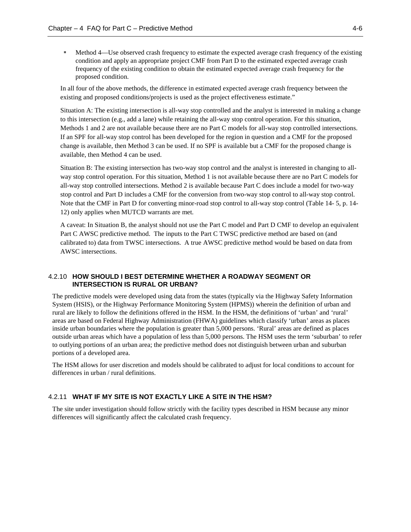Method 4—Use observed crash frequency to estimate the expected average crash frequency of the existing condition and apply an appropriate project CMF from Part D to the estimated expected average crash frequency of the existing condition to obtain the estimated expected average crash frequency for the proposed condition.

In all four of the above methods, the difference in estimated expected average crash frequency between the existing and proposed conditions/projects is used as the project effectiveness estimate."

Situation A: The existing intersection is all-way stop controlled and the analyst is interested in making a change to this intersection (e.g., add a lane) while retaining the all-way stop control operation. For this situation, Methods 1 and 2 are not available because there are no Part C models for all-way stop controlled intersections. If an SPF for all-way stop control has been developed for the region in question and a CMF for the proposed change is available, then Method 3 can be used. If no SPF is available but a CMF for the proposed change is available, then Method 4 can be used.

Situation B: The existing intersection has two-way stop control and the analyst is interested in changing to allway stop control operation. For this situation, Method 1 is not available because there are no Part C models for all-way stop controlled intersections. Method 2 is available because Part C does include a model for two-way stop control and Part D includes a CMF for the conversion from two-way stop control to all-way stop control. Note that the CMF in Part D for converting minor-road stop control to all-way stop control (Table 14- 5, p. 14- 12) only applies when MUTCD warrants are met.

A caveat: In Situation B, the analyst should not use the Part C model and Part D CMF to develop an equivalent Part C AWSC predictive method. The inputs to the Part C TWSC predictive method are based on (and calibrated to) data from TWSC intersections. A true AWSC predictive method would be based on data from AWSC intersections.

#### <span id="page-27-0"></span>4.2.10 **HOW SHOULD I BEST DETERMINE WHETHER A ROADWAY SEGMENT OR INTERSECTION IS RURAL OR URBAN?**

The predictive models were developed using data from the states (typically via the Highway Safety Information System (HSIS), or the Highway Performance Monitoring System (HPMS)) wherein the definition of urban and rural are likely to follow the definitions offered in the HSM. In the HSM, the definitions of 'urban' and 'rural' areas are based on Federal Highway Administration (FHWA) guidelines which classify 'urban' areas as places inside urban boundaries where the population is greater than 5,000 persons. 'Rural' areas are defined as places outside urban areas which have a population of less than 5,000 persons. The HSM uses the term 'suburban' to refer to outlying portions of an urban area; the predictive method does not distinguish between urban and suburban portions of a developed area.

The HSM allows for user discretion and models should be calibrated to adjust for local conditions to account for differences in urban / rural definitions.

#### <span id="page-27-1"></span>4.2.11 **WHAT IF MY SITE IS NOT EXACTLY LIKE A SITE IN THE HSM?**

The site under investigation should follow strictly with the facility types described in HSM because any minor differences will significantly affect the calculated crash frequency.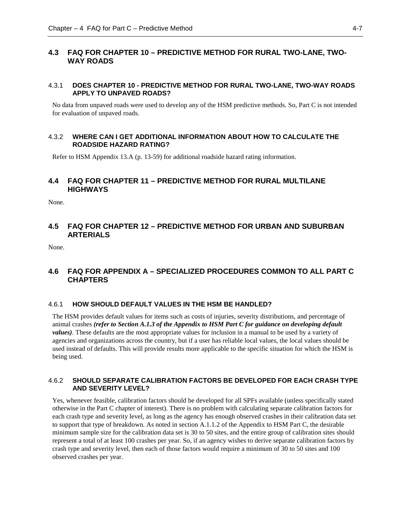## <span id="page-28-0"></span>**4.3 FAQ FOR CHAPTER 10 – PREDICTIVE METHOD FOR RURAL TWO-LANE, TWO-WAY ROADS**

#### <span id="page-28-1"></span>4.3.1 **DOES CHAPTER 10 - PREDICTIVE METHOD FOR RURAL TWO-LANE, TWO-WAY ROADS APPLY TO UNPAVED ROADS?**

No data from unpaved roads were used to develop any of the HSM predictive methods. So, Part C is not intended for evaluation of unpaved roads.

#### <span id="page-28-2"></span>4.3.2 **WHERE CAN I GET ADDITIONAL INFORMATION ABOUT HOW TO CALCULATE THE ROADSIDE HAZARD RATING?**

<span id="page-28-3"></span>Refer to HSM Appendix 13.A (p. 13-59) for additional roadside hazard rating information.

## **4.4 FAQ FOR CHAPTER 11 – PREDICTIVE METHOD FOR RURAL MULTILANE HIGHWAYS**

None.

## <span id="page-28-4"></span>**4.5 FAQ FOR CHAPTER 12 – PREDICTIVE METHOD FOR URBAN AND SUBURBAN ARTERIALS**

None.

## <span id="page-28-5"></span>**4.6 FAQ FOR APPENDIX A – SPECIALIZED PROCEDURES COMMON TO ALL PART C CHAPTERS**

#### <span id="page-28-6"></span>4.6.1 **HOW SHOULD DEFAULT VALUES IN THE HSM BE HANDLED?**

The HSM provides default values for items such as costs of injuries, severity distributions, and percentage of animal crashes *(refer to Section A.1.3 of the Appendix to HSM Part C for guidance on developing default values)*. These defaults are the most appropriate values for inclusion in a manual to be used by a variety of agencies and organizations across the country, but if a user has reliable local values, the local values should be used instead of defaults. This will provide results more applicable to the specific situation for which the HSM is being used.

#### <span id="page-28-7"></span>4.6.2 **SHOULD SEPARATE CALIBRATION FACTORS BE DEVELOPED FOR EACH CRASH TYPE AND SEVERITY LEVEL?**

Yes, whenever feasible, calibration factors should be developed for all SPFs available (unless specifically stated otherwise in the Part C chapter of interest). There is no problem with calculating separate calibration factors for each crash type and severity level, as long as the agency has enough observed crashes in their calibration data set to support that type of breakdown. As noted in section A.1.1.2 of the Appendix to HSM Part C, the desirable minimum sample size for the calibration data set is 30 to 50 sites, and the entire group of calibration sites should represent a total of at least 100 crashes per year. So, if an agency wishes to derive separate calibration factors by crash type and severity level, then each of those factors would require a minimum of 30 to 50 sites and 100 observed crashes per year.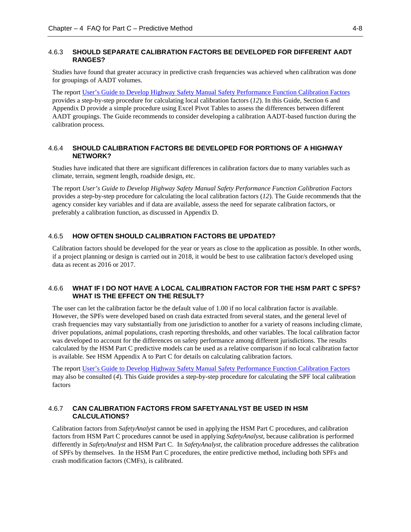#### <span id="page-29-0"></span>4.6.3 **SHOULD SEPARATE CALIBRATION FACTORS BE DEVELOPED FOR DIFFERENT AADT RANGES?**

Studies have found that greater accuracy in predictive crash frequencies was achieved when calibration was done for groupings of AADT volumes.

The report User's [Guide to Develop Highway Safety Manual Safety Performance Function Calibration Factors](http://onlinepubs.trb.org/onlinepubs/nchrp/docs/NCHRP20-07(332)_FinalGuide.pdf) provides a step-by-step procedure for calculating local calibration factors (*12*). In this Guide, Section 6 and Appendix D provide a simple procedure using Excel Pivot Tables to assess the differences between different AADT groupings. The Guide recommends to consider developing a calibration AADT-based function during the calibration process.

#### <span id="page-29-1"></span>4.6.4 **SHOULD CALIBRATION FACTORS BE DEVELOPED FOR PORTIONS OF A HIGHWAY NETWORK?**

Studies have indicated that there are significant differences in calibration factors due to many variables such as climate, terrain, segment length, roadside design, etc.

The report *User's Guide to Develop Highway Safety Manual Safety Performance Function Calibration Factors* provides a step-by-step procedure for calculating the local calibration factors (*12*). The Guide recommends that the agency consider key variables and if data are available, assess the need for separate calibration factors, or preferably a calibration function, as discussed in Appendix D.

#### <span id="page-29-2"></span>4.6.5 **HOW OFTEN SHOULD CALIBRATION FACTORS BE UPDATED?**

Calibration factors should be developed for the year or years as close to the application as possible. In other words, if a project planning or design is carried out in 2018, it would be best to use calibration factor/s developed using data as recent as 2016 or 2017.

### <span id="page-29-3"></span>4.6.6 **WHAT IF I DO NOT HAVE A LOCAL CALIBRATION FACTOR FOR THE HSM PART C SPFS? WHAT IS THE EFFECT ON THE RESULT?**

The user can let the calibration factor be the default value of 1.00 if no local calibration factor is available. However, the SPFs were developed based on crash data extracted from several states, and the general level of crash frequencies may vary substantially from one jurisdiction to another for a variety of reasons including climate, driver populations, animal populations, crash reporting thresholds, and other variables. The local calibration factor was developed to account for the differences on safety performance among different jurisdictions. The results calculated by the HSM Part C predictive models can be used as a relative comparison if no local calibration factor is available. See HSM Appendix A to Part C for details on calculating calibration factors.

The repor[t User's Guide to Develop Highway Safety Manual Safety Performance Function Calibration Factors](http://onlinepubs.trb.org/onlinepubs/nchrp/docs/NCHRP20-07(332)_FinalGuide.pdf) may also be consulted (*4*). This Guide provides a step-by-step procedure for calculating the SPF local calibration factors

#### <span id="page-29-4"></span>4.6.7 **CAN CALIBRATION FACTORS FROM SAFETYANALYST BE USED IN HSM CALCULATIONS?**

Calibration factors from *SafetyAnalyst* cannot be used in applying the HSM Part C procedures, and calibration factors from HSM Part C procedures cannot be used in applying *SafetyAnalyst*, because calibration is performed differently in *SafetyAnalyst* and HSM Part C. In *SafetyAnalyst*, the calibration procedure addresses the calibration of SPFs by themselves. In the HSM Part C procedures, the entire predictive method, including both SPFs and crash modification factors (CMFs), is calibrated.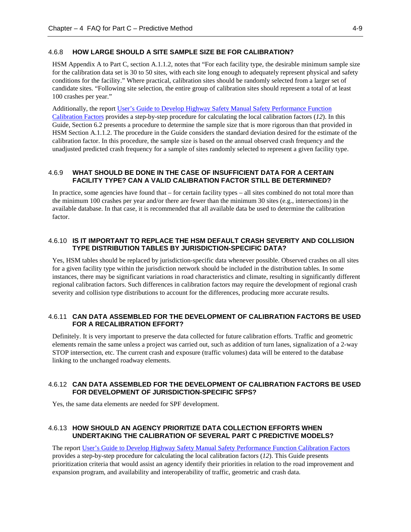#### <span id="page-30-0"></span>4.6.8 **HOW LARGE SHOULD A SITE SAMPLE SIZE BE FOR CALIBRATION?**

HSM Appendix A to Part C, section A.1.1.2, notes that "For each facility type, the desirable minimum sample size for the calibration data set is 30 to 50 sites, with each site long enough to adequately represent physical and safety conditions for the facility." Where practical, calibration sites should be randomly selected from a larger set of candidate sites. "Following site selection, the entire group of calibration sites should represent a total of at least 100 crashes per year."

Additionally, the repor[t User's Guide to Develop Highway Safety Manual Safety Performance Function](http://onlinepubs.trb.org/onlinepubs/nchrp/docs/NCHRP20-07(332)_FinalGuide.pdf)  [Calibration Factors](http://onlinepubs.trb.org/onlinepubs/nchrp/docs/NCHRP20-07(332)_FinalGuide.pdf) provides a step-by-step procedure for calculating the local calibration factors (*12*). In this Guide, Section 6.2 presents a procedure to determine the sample size that is more rigorous than that provided in HSM Section A.1.1.2. The procedure in the Guide considers the standard deviation desired for the estimate of the calibration factor. In this procedure, the sample size is based on the annual observed crash frequency and the unadjusted predicted crash frequency for a sample of sites randomly selected to represent a given facility type.

#### <span id="page-30-1"></span>4.6.9 **WHAT SHOULD BE DONE IN THE CASE OF INSUFFICIENT DATA FOR A CERTAIN FACILITY TYPE? CAN A VALID CALIBRATION FACTOR STILL BE DETERMINED?**

In practice, some agencies have found that – for certain facility types – all sites combined do not total more than the minimum 100 crashes per year and/or there are fewer than the minimum 30 sites (e.g., intersections) in the available database. In that case, it is recommended that all available data be used to determine the calibration factor.

#### <span id="page-30-2"></span>4.6.10 **IS IT IMPORTANT TO REPLACE THE HSM DEFAULT CRASH SEVERITY AND COLLISION TYPE DISTRIBUTION TABLES BY JURISDICTION-SPECIFIC DATA?**

Yes, HSM tables should be replaced by jurisdiction-specific data whenever possible. Observed crashes on all sites for a given facility type within the jurisdiction network should be included in the distribution tables. In some instances, there may be significant variations in road characteristics and climate, resulting in significantly different regional calibration factors. Such differences in calibration factors may require the development of regional crash severity and collision type distributions to account for the differences, producing more accurate results.

#### <span id="page-30-3"></span>4.6.11 **CAN DATA ASSEMBLED FOR THE DEVELOPMENT OF CALIBRATION FACTORS BE USED FOR A RECALIBRATION EFFORT?**

Definitely. It is very important to preserve the data collected for future calibration efforts. Traffic and geometric elements remain the same unless a project was carried out, such as addition of turn lanes, signalization of a 2-way STOP intersection, etc. The current crash and exposure (traffic volumes) data will be entered to the database linking to the unchanged roadway elements.

#### <span id="page-30-4"></span>4.6.12 **CAN DATA ASSEMBLED FOR THE DEVELOPMENT OF CALIBRATION FACTORS BE USED FOR DEVELOPMENT OF JURISDICTION-SPECIFIC SFPS?**

<span id="page-30-5"></span>Yes, the same data elements are needed for SPF development.

#### 4.6.13 **HOW SHOULD AN AGENCY PRIORITIZE DATA COLLECTION EFFORTS WHEN UNDERTAKING THE CALIBRATION OF SEVERAL PART C PREDICTIVE MODELS?**

The report [User's Guide to Develop Highway Safety Manual Safety Performance Function Calibration Factors](http://onlinepubs.trb.org/onlinepubs/nchrp/docs/NCHRP20-07(332)_FinalGuide.pdf) provides a step-by-step procedure for calculating the local calibration factors (*12*). This Guide presents prioritization criteria that would assist an agency identify their priorities in relation to the road improvement and expansion program, and availability and interoperability of traffic, geometric and crash data.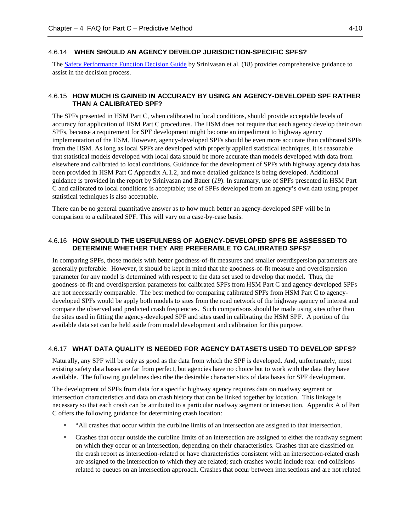#### 4.6.14 **WHEN SHOULD AN AGENCY DEVELOP JURISDICTION-SPECIFIC SPFS?**

<span id="page-31-0"></span>The [Safety Performance Function Decision Guide](https://safety.fhwa.dot.gov/rsdp/downloads/spf_decision_guide_final.pdf) by Srinivasan et al. (18) provides comprehensive guidance to assist in the decision process.

#### <span id="page-31-1"></span>4.6.15 **HOW MUCH IS GAINED IN ACCURACY BY USING AN AGENCY-DEVELOPED SPF RATHER THAN A CALIBRATED SPF?**

The SPFs presented in HSM Part C, when calibrated to local conditions, should provide acceptable levels of accuracy for application of HSM Part C procedures. The HSM does not require that each agency develop their own SPFs, because a requirement for SPF development might become an impediment to highway agency implementation of the HSM. However, agency-developed SPFs should be even more accurate than calibrated SPFs from the HSM. As long as local SPFs are developed with properly applied statistical techniques, it is reasonable that statistical models developed with local data should be more accurate than models developed with data from elsewhere and calibrated to local conditions. Guidance for the development of SPFs with highway agency data has been provided in HSM Part C Appendix A.1.2, and more detailed guidance is being developed. Additional guidance is provided in the report by Srinivasan and Bauer (*19*). In summary, use of SPFs presented in HSM Part C and calibrated to local conditions is acceptable; use of SPFs developed from an agency's own data using proper statistical techniques is also acceptable.

There can be no general quantitative answer as to how much better an agency-developed SPF will be in comparison to a calibrated SPF. This will vary on a case-by-case basis.

#### <span id="page-31-2"></span>4.6.16 **HOW SHOULD THE USEFULNESS OF AGENCY-DEVELOPED SPFS BE ASSESSED TO DETERMINE WHETHER THEY ARE PREFERABLE TO CALIBRATED SPFS?**

In comparing SPFs, those models with better goodness-of-fit measures and smaller overdispersion parameters are generally preferable. However, it should be kept in mind that the goodness-of-fit measure and overdispersion parameter for any model is determined with respect to the data set used to develop that model. Thus, the goodness-of-fit and overdispersion parameters for calibrated SPFs from HSM Part C and agency-developed SPFs are not necessarily comparable. The best method for comparing calibrated SPFs from HSM Part C to agencydeveloped SPFs would be apply both models to sites from the road network of the highway agency of interest and compare the observed and predicted crash frequencies. Such comparisons should be made using sites other than the sites used in fitting the agency-developed SPF and sites used in calibrating the HSM SPF. A portion of the available data set can be held aside from model development and calibration for this purpose.

#### <span id="page-31-3"></span>4.6.17 **WHAT DATA QUALITY IS NEEDED FOR AGENCY DATASETS USED TO DEVELOP SPFS?**

Naturally, any SPF will be only as good as the data from which the SPF is developed. And, unfortunately, most existing safety data bases are far from perfect, but agencies have no choice but to work with the data they have available. The following guidelines describe the desirable characteristics of data bases for SPF development.

The development of SPFs from data for a specific highway agency requires data on roadway segment or intersection characteristics and data on crash history that can be linked together by location. This linkage is necessary so that each crash can be attributed to a particular roadway segment or intersection. Appendix A of Part C offers the following guidance for determining crash location:

- "All crashes that occur within the curbline limits of an intersection are assigned to that intersection.
- Crashes that occur outside the curbline limits of an intersection are assigned to either the roadway segment on which they occur or an intersection, depending on their characteristics. Crashes that are classified on the crash report as intersection-related or have characteristics consistent with an intersection-related crash are assigned to the intersection to which they are related; such crashes would include rear-end collisions related to queues on an intersection approach. Crashes that occur between intersections and are not related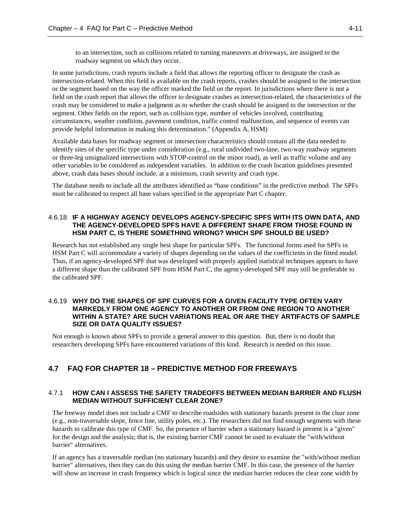to an intersection, such as collisions related to turning maneuvers at driveways, are assigned to the roadway segment on which they occur.

In some jurisdictions, crash reports include a field that allows the reporting officer to designate the crash as intersection-related. When this field is available on the crash reports, crashes should be assigned to the intersection or the segment based on the way the officer marked the field on the report. In jurisdictions where there is not a field on the crash report that allows the officer to designate crashes as intersection-related, the characteristics of the crash may be considered to make a judgment as to whether the crash should be assigned to the intersection or the segment. Other fields on the report, such as collision type, number of vehicles involved, contributing circumstances, weather condition, pavement condition, traffic control malfunction, and sequence of events can provide helpful information in making this determination." (Appendix A, HSM)

Available data bases for roadway segment or intersection characteristics should contain all the data needed to identify sites of the specific type under consideration (e.g., rural undivided two-lane, two-way roadway segments or three-leg unsignalized intersections with STOP-control on the minor road), as well as traffic volume and any other variables to be considered as independent variables. In addition to the crash location guidelines presented above, crash data bases should include, at a minimum, crash severity and crash type.

The database needs to include all the attributes identified as "base conditions" in the predictive method. The SPFs must be calibrated to respect all base values specified in the appropriate Part C chapter.

#### <span id="page-32-0"></span>4.6.18 **IF A HIGHWAY AGENCY DEVELOPS AGENCY-SPECIFIC SPFS WITH ITS OWN DATA, AND THE AGENCY-DEVELOPED SPFS HAVE A DIFFERENT SHAPE FROM THOSE FOUND IN HSM PART C, IS THERE SOMETHING WRONG? WHICH SPF SHOULD BE USED?**

Research has not established any single best shape for particular SPFs. The functional forms used for SPFs in HSM Part C will accommodate a variety of shapes depending on the values of the coefficients in the fitted model. Thus, if an agency-developed SPF that was developed with properly applied statistical techniques appears to have a different shape than the calibrated SPF from HSM Part C, the agency-developed SPF may still be preferable to the calibrated SPF.

#### <span id="page-32-1"></span>4.6.19 **WHY DO THE SHAPES OF SPF CURVES FOR A GIVEN FACILITY TYPE OFTEN VARY MARKEDLY FROM ONE AGENCY TO ANOTHER OR FROM ONE REGION TO ANOTHER WITHIN A STATE? ARE SUCH VARIATIONS REAL OR ARE THEY ARTIFACTS OF SAMPLE SIZE OR DATA QUALITY ISSUES?**

Not enough is known about SPFs to provide a general answer to this question. But, there is no doubt that researchers developing SPFs have encountered variations of this kind. Research is needed on this issue.

### <span id="page-32-3"></span><span id="page-32-2"></span>**4.7 FAQ FOR CHAPTER 18 – PREDICTIVE METHOD FOR FREEWAYS**

#### 4.7.1 **HOW CAN I ASSESS THE SAFETY TRADEOFFS BETWEEN MEDIAN BARRIER AND FLUSH MEDIAN WITHOUT SUFFICIENT CLEAR ZONE?**

The freeway model does not include a CMF to describe roadsides with stationary hazards present in the clear zone (e.g., non-traversable slope, fence line, utility poles, etc.). The researchers did not find enough segments with these hazards to calibrate this type of CMF. So, the presence of barrier when a stationary hazard is present is a "given" for the design and the analysis; that is, the existing barrier CMF cannot be used to evaluate the "with/without barrier" alternatives.

If an agency has a traversable median (no stationary hazards) and they desire to examine the "with/without median barrier" alternatives, then they can do this using the median barrier CMF. In this case, the presence of the barrier will show an increase in crash frequency which is logical since the median barrier reduces the clear zone width by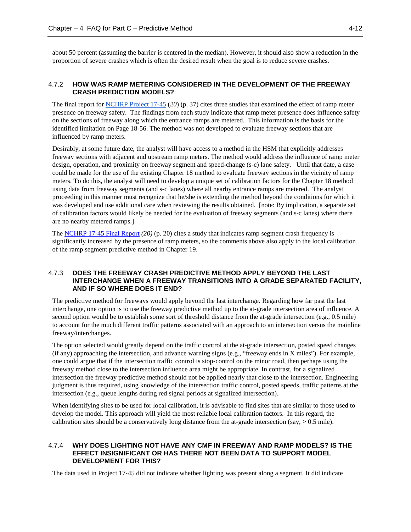about 50 percent (assuming the barrier is centered in the median). However, it should also show a reduction in the proportion of severe crashes which is often the desired result when the goal is to reduce severe crashes.

## <span id="page-33-0"></span>4.7.2 **HOW WAS RAMP METERING CONSIDERED IN THE DEVELOPMENT OF THE FREEWAY CRASH PREDICTION MODELS?**

The final report for [NCHRP Project 17-45](http://onlinepubs.trb.org/onlinepubs/nchrp/docs/NCHRP17-45_FR.pdf) (*20*) (p. 37) cites three studies that examined the effect of ramp meter presence on freeway safety. The findings from each study indicate that ramp meter presence does influence safety on the sections of freeway along which the entrance ramps are metered. This information is the basis for the identified limitation on Page 18-56. The method was not developed to evaluate freeway sections that are influenced by ramp meters.

Desirably, at some future date, the analyst will have access to a method in the HSM that explicitly addresses freeway sections with adjacent and upstream ramp meters. The method would address the influence of ramp meter design, operation, and proximity on freeway segment and speed-change (s-c) lane safety. Until that date, a case could be made for the use of the existing Chapter 18 method to evaluate freeway sections in the vicinity of ramp meters. To do this, the analyst will need to develop a unique set of calibration factors for the Chapter 18 method using data from freeway segments (and s-c lanes) where all nearby entrance ramps are metered. The analyst proceeding in this manner must recognize that he/she is extending the method beyond the conditions for which it was developed and use additional care when reviewing the results obtained. [note: By implication, a separate set of calibration factors would likely be needed for the evaluation of freeway segments (and s-c lanes) where there are no nearby metered ramps.]

The [NCHRP 17-45 Final Report](http://onlinepubs.trb.org/onlinepubs/nchrp/docs/NCHRP17-45_FR.pdf) *(20)* (p. 20) cites a study that indicates ramp segment crash frequency is significantly increased by the presence of ramp meters, so the comments above also apply to the local calibration of the ramp segment predictive method in Chapter 19.

#### <span id="page-33-1"></span>4.7.3 **DOES THE FREEWAY CRASH PREDICTIVE METHOD APPLY BEYOND THE LAST INTERCHANGE WHEN A FREEWAY TRANSITIONS INTO A GRADE SEPARATED FACILITY, AND IF SO WHERE DOES IT END?**

The predictive method for freeways would apply beyond the last interchange. Regarding how far past the last interchange, one option is to use the freeway predictive method up to the at-grade intersection area of influence. A second option would be to establish some sort of threshold distance from the at-grade intersection (e.g., 0.5 mile) to account for the much different traffic patterns associated with an approach to an intersection versus the mainline freeway/interchanges.

The option selected would greatly depend on the traffic control at the at-grade intersection, posted speed changes (if any) approaching the intersection, and advance warning signs (e.g., "freeway ends in X miles"). For example, one could argue that if the intersection traffic control is stop-control on the minor road, then perhaps using the freeway method close to the intersection influence area might be appropriate. In contrast, for a signalized intersection the freeway predictive method should not be applied nearly that close to the intersection. Engineering judgment is thus required, using knowledge of the intersection traffic control, posted speeds, traffic patterns at the intersection (e.g., queue lengths during red signal periods at signalized intersection).

When identifying sites to be used for local calibration, it is advisable to find sites that are similar to those used to develop the model. This approach will yield the most reliable local calibration factors. In this regard, the calibration sites should be a conservatively long distance from the at-grade intersection (say, > 0.5 mile).

#### <span id="page-33-2"></span>4.7.4 **WHY DOES LIGHTING NOT HAVE ANY CMF IN FREEWAY AND RAMP MODELS? IS THE EFFECT INSIGNIFICANT OR HAS THERE NOT BEEN DATA TO SUPPORT MODEL DEVELOPMENT FOR THIS?**

The data used in Project 17‐45 did not indicate whether lighting was present along a segment. It did indicate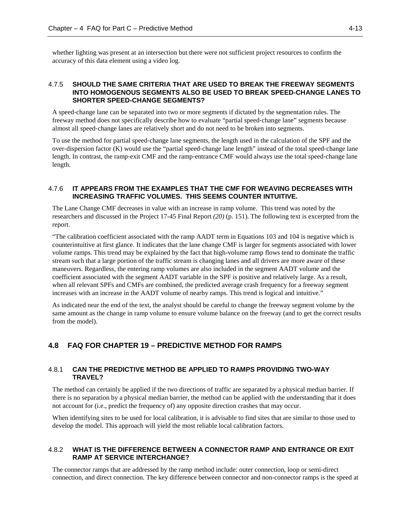whether lighting was present at an intersection but there were not sufficient project resources to confirm the accuracy of this data element using a video log.

#### <span id="page-34-0"></span>4.7.5 **SHOULD THE SAME CRITERIA THAT ARE USED TO BREAK THE FREEWAY SEGMENTS INTO HOMOGENOUS SEGMENTS ALSO BE USED TO BREAK SPEED**‐**CHANGE LANES TO SHORTER SPEED**‐**CHANGE SEGMENTS?**

A speed‐change lane can be separated into two or more segments if dictated by the segmentation rules. The freeway method does not specifically describe how to evaluate "partial speed‐change lane" segments because almost all speed‐change lanes are relatively short and do not need to be broken into segments.

To use the method for partial speed‐change lane segments, the length used in the calculation of the SPF and the over‐dispersion factor (K) would use the "partial speed‐change lane length" instead of the total speed‐change lane length. In contrast, the ramp‐exit CMF and the ramp‐entrance CMF would always use the total speed‐change lane length.

#### <span id="page-34-1"></span>4.7.6 **IT APPEARS FROM THE EXAMPLES THAT THE CMF FOR WEAVING DECREASES WITH INCREASING TRAFFIC VOLUMES. THIS SEEMS COUNTER INTUITIVE.**

The Lane Change CMF decreases in value with an increase in ramp volume. This trend was noted by the researchers and discussed in the Project 17-45 Final Report *(20)* (p. 151). The following text is excerpted from the report.

"The calibration coefficient associated with the ramp AADT term in Equations 103 and 104 is negative which is counterintuitive at first glance. It indicates that the lane change CMF is larger for segments associated with lower volume ramps. This trend may be explained by the fact that high-volume ramp flows tend to dominate the traffic stream such that a large portion of the traffic stream is changing lanes and all drivers are more aware of these maneuvers. Regardless, the entering ramp volumes are also included in the segment AADT volume and the coefficient associated with the segment AADT variable in the SPF is positive and relatively large. As a result, when all relevant SPFs and CMFs are combined, the predicted average crash frequency for a freeway segment increases with an increase in the AADT volume of nearby ramps. This trend is logical and intuitive."

As indicated near the end of the text, the analyst should be careful to change the freeway segment volume by the same amount as the change in ramp volume to ensure volume balance on the freeway (and to get the correct results from the model).

## <span id="page-34-3"></span><span id="page-34-2"></span>**4.8 FAQ FOR CHAPTER 19 – PREDICTIVE METHOD FOR RAMPS**

#### 4.8.1 **CAN THE PREDICTIVE METHOD BE APPLIED TO RAMPS PROVIDING TWO-WAY TRAVEL?**

The method can certainly be applied if the two directions of traffic are separated by a physical median barrier. If there is no separation by a physical median barrier, the method can be applied with the understanding that it does not account for (i.e., predict the frequency of) any opposite direction crashes that may occur.

When identifying sites to be used for local calibration, it is advisable to find sites that are similar to those used to develop the model. This approach will yield the most reliable local calibration factors.

#### <span id="page-34-4"></span>4.8.2 **WHAT IS THE DIFFERENCE BETWEEN A CONNECTOR RAMP AND ENTRANCE OR EXIT RAMP AT SERVICE INTERCHANGE?**

The connector ramps that are addressed by the ramp method include: outer connection, loop or semi-direct connection, and direct connection. The key difference between connector and non-connector ramps is the speed at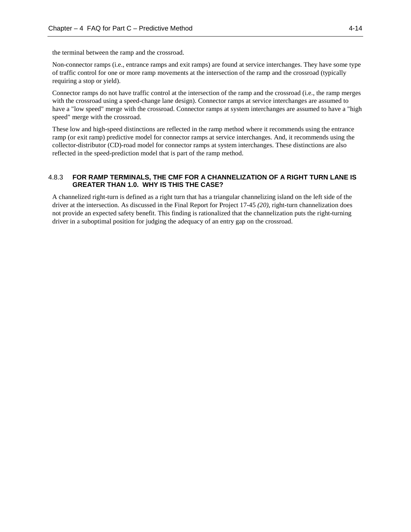the terminal between the ramp and the crossroad.

Non-connector ramps (i.e., entrance ramps and exit ramps) are found at service interchanges. They have some type of traffic control for one or more ramp movements at the intersection of the ramp and the crossroad (typically requiring a stop or yield).

Connector ramps do not have traffic control at the intersection of the ramp and the crossroad (i.e., the ramp merges with the crossroad using a speed-change lane design). Connector ramps at service interchanges are assumed to have a "low speed" merge with the crossroad. Connector ramps at system interchanges are assumed to have a "high speed" merge with the crossroad.

These low and high-speed distinctions are reflected in the ramp method where it recommends using the entrance ramp (or exit ramp) predictive model for connector ramps at service interchanges. And, it recommends using the collector-distributor (CD)-road model for connector ramps at system interchanges. These distinctions are also reflected in the speed-prediction model that is part of the ramp method.

#### <span id="page-35-0"></span>4.8.3 **FOR RAMP TERMINALS, THE CMF FOR A CHANNELIZATION OF A RIGHT TURN LANE IS GREATER THAN 1.0. WHY IS THIS THE CASE?**

A channelized right-turn is defined as a right turn that has a triangular channelizing island on the left side of the driver at the intersection. As discussed in the [Final Report for Project 17-45](http://onlinepubs.trb.org/onlinepubs/nchrp/docs/NCHRP17-45_FR.pdf) *(20)*, right-turn channelization does not provide an expected safety benefit. This finding is rationalized that the channelization puts the right-turning driver in a suboptimal position for judging the adequacy of an entry gap on the crossroad.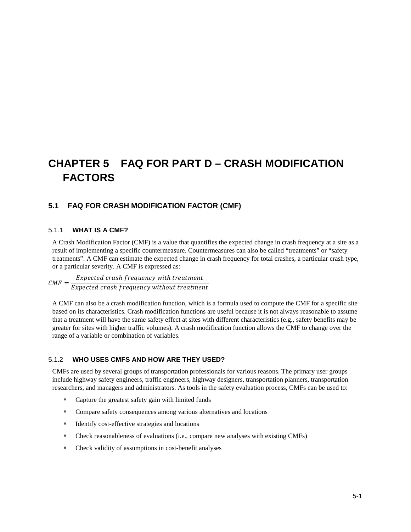## <span id="page-36-0"></span>**CHAPTER 5 FAQ FOR PART D – CRASH MODIFICATION FACTORS**

## <span id="page-36-2"></span><span id="page-36-1"></span>**5.1 FAQ FOR CRASH MODIFICATION FACTOR (CMF)**

#### 5.1.1 **WHAT IS A CMF?**

A Crash Modification Factor (CMF) is a value that quantifies the expected change in crash frequency at a site as a result of implementing a specific countermeasure. Countermeasures can also be called "treatments" or "safety treatments". A CMF can estimate the expected change in crash frequency for total crashes, a particular crash type, or a particular severity. A CMF is expressed as:

 $CMF = \frac{Expected\ crash\ frequency\ with\ treatment}{Expected\ crash\ frequency\ without\ treatment}$ 

A CMF can also be a crash modification function, which is a formula used to compute the CMF for a specific site based on its characteristics. Crash modification functions are useful because it is not always reasonable to assume that a treatment will have the same safety effect at sites with different characteristics (e.g., safety benefits may be greater for sites with higher traffic volumes). A crash modification function allows the CMF to change over the range of a variable or combination of variables.

#### <span id="page-36-3"></span>5.1.2 **WHO USES CMFS AND HOW ARE THEY USED?**

CMFs are used by several groups of transportation professionals for various reasons. The primary user groups include highway safety engineers, traffic engineers, highway designers, transportation planners, transportation researchers, and managers and administrators. As tools in the safety evaluation process, CMFs can be used to:

- Capture the greatest safety gain with limited funds
- Compare safety consequences among various alternatives and locations
- Identify cost-effective strategies and locations
- Check reasonableness of evaluations (i.e., compare new analyses with existing CMFs)
- Check validity of assumptions in cost-benefit analyses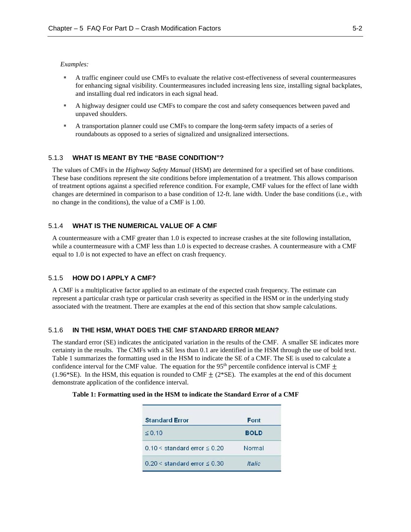#### *Examples:*

- A traffic engineer could use CMFs to evaluate the relative cost-effectiveness of several countermeasures for enhancing signal visibility. Countermeasures included increasing lens size, installing signal backplates, and installing dual red indicators in each signal head.
- A highway designer could use CMFs to compare the cost and safety consequences between paved and unpaved shoulders.
- A transportation planner could use CMFs to compare the long-term safety impacts of a series of roundabouts as opposed to a series of signalized and unsignalized intersections.

#### <span id="page-37-0"></span>5.1.3 **WHAT IS MEANT BY THE "BASE CONDITION"?**

The values of CMFs in the *Highway Safety Manual* (HSM) are determined for a specified set of base conditions. These base conditions represent the site conditions before implementation of a treatment. This allows comparison of treatment options against a specified reference condition. For example, CMF values for the effect of lane width changes are determined in comparison to a base condition of 12-ft. lane width. Under the base conditions (i.e., with no change in the conditions), the value of a CMF is 1.00.

#### <span id="page-37-1"></span>5.1.4 **WHAT IS THE NUMERICAL VALUE OF A CMF**

A countermeasure with a CMF greater than 1.0 is expected to increase crashes at the site following installation, while a countermeasure with a CMF less than 1.0 is expected to decrease crashes. A countermeasure with a CMF equal to 1.0 is not expected to have an effect on crash frequency.

#### <span id="page-37-2"></span>5.1.5 **HOW DO I APPLY A CMF?**

A CMF is a multiplicative factor applied to an estimate of the expected crash frequency. The estimate can represent a particular crash type or particular crash severity as specified in the HSM or in the underlying study associated with the treatment. There are examples at the end of this section that show sample calculations.

#### <span id="page-37-3"></span>5.1.6 **IN THE HSM, WHAT DOES THE CMF STANDARD ERROR MEAN?**

The standard error (SE) indicates the anticipated variation in the results of the CMF. A smaller SE indicates more certainty in the results. The CMFs with a SE less than 0.1 are identified in the HSM through the use of bold text. Table 1 summarizes the formatting used in the HSM to indicate the SE of a CMF. The SE is used to calculate a confidence interval for the CMF value. The equation for the 95<sup>th</sup> percentile confidence interval is CMF  $\pm$ (1.96\*SE). In the HSM, this equation is rounded to CMF  $\pm$  (2\*SE). The examples at the end of this document demonstrate application of the confidence interval.

| <b>Standard Error</b>                | Font          |
|--------------------------------------|---------------|
| $\leq$ 0.10                          | <b>BOLD</b>   |
| $0.10 \le$ standard error $\le 0.20$ | Normal        |
| $0.20 \le$ standard error $\le 0.30$ | <b>Italic</b> |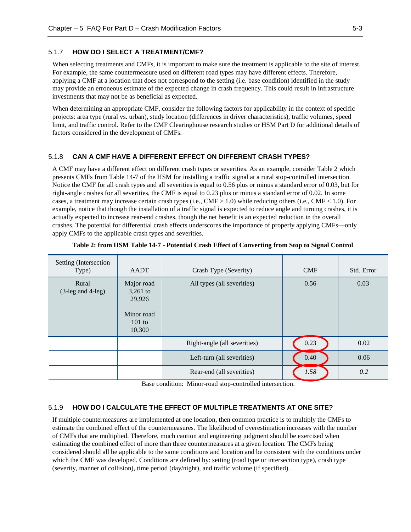#### <span id="page-38-0"></span>5.1.7 **HOW DO I SELECT A TREATMENT/CMF?**

When selecting treatments and CMFs, it is important to make sure the treatment is applicable to the site of interest. For example, the same countermeasure used on different road types may have different effects. Therefore, applying a CMF at a location that does not correspond to the setting (i.e. base condition) identified in the study may provide an erroneous estimate of the expected change in crash frequency. This could result in infrastructure investments that may not be as beneficial as expected.

When determining an appropriate CMF, consider the following factors for applicability in the context of specific projects: area type (rural vs. urban), study location (differences in driver characteristics), traffic volumes, speed limit, and traffic control. Refer to the CMF Clearinghouse research studies or HSM Part D for additional details of factors considered in the development of CMFs.

#### <span id="page-38-1"></span>5.1.8 **CAN A CMF HAVE A DIFFERENT EFFECT ON DIFFERENT CRASH TYPES?**

A CMF may have a different effect on different crash types or severities. As an example, consider Table 2 which presents CMFs from Table 14-7 of the HSM for installing a traffic signal at a rural stop-controlled intersection. Notice the CMF for all crash types and all severities is equal to 0.56 plus or minus a standard error of 0.03, but for right-angle crashes for all severities, the CMF is equal to 0.23 plus or minus a standard error of 0.02. In some cases, a treatment may increase certain crash types (i.e., CMF > 1.0) while reducing others (i.e., CMF < 1.0). For example, notice that though the installation of a traffic signal is expected to reduce angle and turning crashes, it is actually expected to increase rear-end crashes, though the net benefit is an expected reduction in the overall crashes. The potential for differential crash effects underscores the importance of properly applying CMFs—only apply CMFs to the applicable crash types and severities.

| Setting (Intersection<br>Type) | AADT                                                                 | Crash Type (Severity)        | <b>CMF</b> | Std. Error |
|--------------------------------|----------------------------------------------------------------------|------------------------------|------------|------------|
| Rural<br>$(3$ -leg and 4-leg)  | Major road<br>3,261 to<br>29,926<br>Minor road<br>$101$ to<br>10,300 | All types (all severities)   | 0.56       | 0.03       |
|                                |                                                                      | Right-angle (all severities) | 0.23       | 0.02       |
|                                |                                                                      | Left-turn (all severities)   | 0.40       | 0.06       |
|                                |                                                                      | Rear-end (all severities)    | 1.58       | 0.2        |

**Table 2: from HSM Table 14-7 - Potential Crash Effect of Converting from Stop to Signal Control**

Base condition: Minor-road stop-controlled intersection.

#### <span id="page-38-2"></span>5.1.9 **HOW DO I CALCULATE THE EFFECT OF MULTIPLE TREATMENTS AT ONE SITE?**

If multiple countermeasures are implemented at one location, then common practice is to multiply the CMFs to estimate the combined effect of the countermeasures. The likelihood of overestimation increases with the number of CMFs that are multiplied. Therefore, much caution and engineering judgment should be exercised when estimating the combined effect of more than three countermeasures at a given location. The CMFs being considered should all be applicable to the same conditions and location and be consistent with the conditions under which the CMF was developed. Conditions are defined by: setting (road type or intersection type), crash type (severity, manner of collision), time period (day/night), and traffic volume (if specified).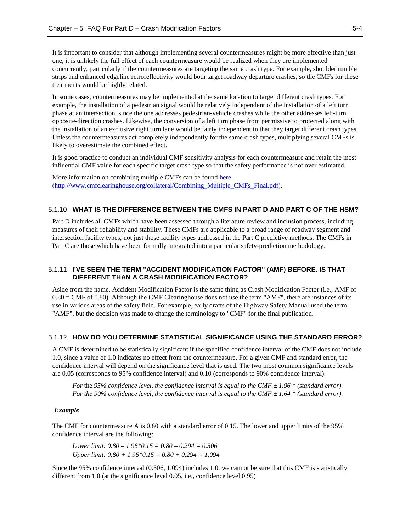It is important to consider that although implementing several countermeasures might be more effective than just one, it is unlikely the full effect of each countermeasure would be realized when they are implemented concurrently, particularly if the countermeasures are targeting the same crash type. For example, shoulder rumble strips and enhanced edgeline retroreflectivity would both target roadway departure crashes, so the CMFs for these treatments would be highly related.

In some cases, countermeasures may be implemented at the same location to target different crash types. For example, the installation of a pedestrian signal would be relatively independent of the installation of a left turn phase at an intersection, since the one addresses pedestrian-vehicle crashes while the other addresses left-turn opposite-direction crashes. Likewise, the conversion of a left turn phase from permissive to protected along with the installation of an exclusive right turn lane would be fairly independent in that they target different crash types. Unless the countermeasures act completely independently for the same crash types, multiplying several CMFs is likely to overestimate the combined effect.

It is good practice to conduct an individual CMF sensitivity analysis for each countermeasure and retain the most influential CMF value for each specific target crash type so that the safety performance is not over estimated.

More information on combining multiple CMFs can be found [here](http://www.cmfclearinghouse.org/collateral/Combining_Multiple_CMFs_Final.pdf) [\(http://www.cmfclearinghouse.org/collateral/Combining\\_Multiple\\_CMFs\\_Final.pdf\)](http://www.cmfclearinghouse.org/collateral/Combining_Multiple_CMFs_Final.pdf).

#### <span id="page-39-0"></span>5.1.10 **WHAT IS THE DIFFERENCE BETWEEN THE CMFS IN PART D AND PART C OF THE HSM?**

Part D includes all CMFs which have been assessed through a literature review and inclusion process, including measures of their reliability and stability. These CMFs are applicable to a broad range of roadway segment and intersection facility types, not just those facility types addressed in the Part C predictive methods. The CMFs in Part C are those which have been formally integrated into a particular safety-prediction methodology.

#### <span id="page-39-1"></span>5.1.11 **I'VE SEEN THE TERM "ACCIDENT MODIFICATION FACTOR" (AMF) BEFORE. IS THAT DIFFERENT THAN A CRASH MODIFICATION FACTOR?**

Aside from the name, Accident Modification Factor is the same thing as Crash Modification Factor (i.e., AMF of  $0.80 = \text{CMF}$  of 0.80). Although the CMF Clearinghouse does not use the term "AMF", there are instances of its use in various areas of the safety field. For example, early drafts of the Highway Safety Manual used the term "AMF", but the decision was made to change the terminology to "CMF" for the final publication.

#### <span id="page-39-2"></span>5.1.12 **HOW DO YOU DETERMINE STATISTICAL SIGNIFICANCE USING THE STANDARD ERROR?**

A CMF is determined to be statistically significant if the specified confidence interval of the CMF does not include 1.0, since a value of 1.0 indicates no effect from the countermeasure. For a given CMF and standard error, the confidence interval will depend on the significance level that is used. The two most common significance levels are 0.05 (corresponds to 95% confidence interval) and 0.10 (corresponds to 90% confidence interval).

*For the 95% confidence level, the confidence interval is equal to the CMF*  $\pm$  *1.96 \* (standard error). For the 90% confidence level, the confidence interval is equal to the CMF ± 1.64 \* (standard error).*

#### *Example*

The CMF for countermeasure A is 0.80 with a standard error of 0.15. The lower and upper limits of the 95% confidence interval are the following:

*Lower limit: 0.80 – 1.96\*0.15 = 0.80 – 0.294 = 0.506 Upper limit: 0.80 + 1.96\*0.15 = 0.80 + 0.294 = 1.094*

Since the 95% confidence interval (0.506, 1.094) includes 1.0, we cannot be sure that this CMF is statistically different from 1.0 (at the significance level 0.05, i.e., confidence level 0.95)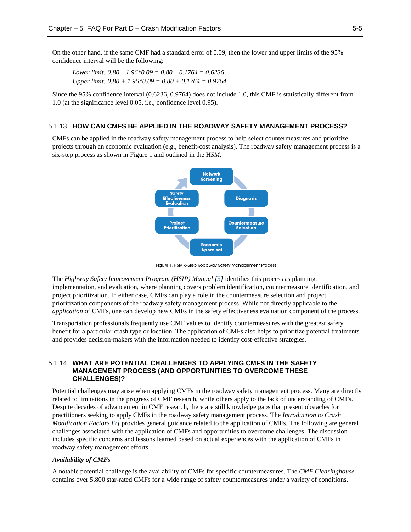On the other hand, if the same CMF had a standard error of 0.09, then the lower and upper limits of the 95% confidence interval will be the following:

*Lower limit: 0.80 – 1.96\*0.09 = 0.80 – 0.1764 = 0.6236 Upper limit: 0.80 + 1.96\*0.09 = 0.80 + 0.1764 = 0.9764*

Since the 95% confidence interval (0.6236, 0.9764) does not include 1.0, this CMF is statistically different from 1.0 (at the significance level 0.05, i.e., confidence level 0.95).

#### <span id="page-40-0"></span>5.1.13 **HOW CAN CMFS BE APPLIED IN THE ROADWAY SAFETY MANAGEMENT PROCESS?**

CMFs can be applied in the roadway safety management process to help select countermeasures and prioritize projects through an economic evaluation (e.g., benefit-cost analysis). The roadway safety management process is a six-step process as shown in Figure 1 and outlined in the H*SM*.



Figure 1. HSM 6-Step Roadway Safety Management Process

The *Highway Safety Improvement Program (HSIP) Manual [\[3\]](#page-52-4)* identifies this process as planning, implementation, and evaluation, where planning covers problem identification, countermeasure identification, and project prioritization. In either case, CMFs can play a role in the countermeasure selection and project prioritization components of the roadway safety management process. While not directly applicable to the *application* of CMFs, one can develop new CMFs in the safety effectiveness evaluation component of the process.

Transportation professionals frequently use CMF values to identify countermeasures with the greatest safety benefit for a particular crash type or location. The application of CMFs also helps to prioritize potential treatments and provides decision-makers with the information needed to identify cost-effective strategies.

#### <span id="page-40-1"></span>5.1.14 **WHAT ARE POTENTIAL CHALLENGES TO APPLYING CMFS IN THE SAFETY MANAGEMENT PROCESS (AND OPPORTUNITIES TO OVERCOME THESE CHALLENGES)?1**

Potential challenges may arise when applying CMFs in the roadway safety management process. Many are directly related to limitations in the progress of CMF research, while others apply to the lack of understanding of CMFs. Despite decades of advancement in CMF research, there are still knowledge gaps that present obstacles for practitioners seeking to apply CMFs in the roadway safety management process. The *Introduction to Crash Modification Factors [\[7\]](#page-52-5)* provides general guidance related to the application of CMFs. The following are general challenges associated with the application of CMFs and opportunities to overcome challenges. The discussion includes specific concerns and lessons learned based on actual experiences with the application of CMFs in roadway safety management efforts.

#### *Availability of CMFs*

A notable potential challenge is the availability of CMFs for specific countermeasures. The *CMF Clearinghouse*  contains over 5,800 star-rated CMFs for a wide range of safety countermeasures under a variety of conditions.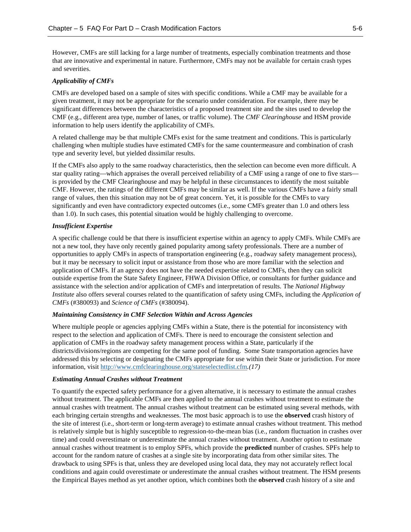However, CMFs are still lacking for a large number of treatments, especially combination treatments and those that are innovative and experimental in nature. Furthermore, CMFs may not be available for certain crash types and severities.

#### *Applicability of CMFs*

CMFs are developed based on a sample of sites with specific conditions. While a CMF may be available for a given treatment, it may not be appropriate for the scenario under consideration. For example, there may be significant differences between the characteristics of a proposed treatment site and the sites used to develop the CMF (e.g., different area type, number of lanes, or traffic volume). The *CMF Clearinghouse* and HSM provide information to help users identify the applicability of CMFs.

A related challenge may be that multiple CMFs exist for the same treatment and conditions. This is particularly challenging when multiple studies have estimated CMFs for the same countermeasure and combination of crash type and severity level, but yielded dissimilar results.

If the CMFs also apply to the same roadway characteristics, then the selection can become even more difficult. A star quality rating—which appraises the overall perceived reliability of a CMF using a range of one to five stars is provided by the CMF Clearinghouse and may be helpful in these circumstances to identify the most suitable CMF. However, the ratings of the different CMFs may be similar as well. If the various CMFs have a fairly small range of values, then this situation may not be of great concern. Yet, it is possible for the CMFs to vary significantly and even have contradictory expected outcomes (i.e., some CMFs greater than 1.0 and others less than 1.0). In such cases, this potential situation would be highly challenging to overcome.

#### *Insufficient Expertise*

A specific challenge could be that there is insufficient expertise within an agency to apply CMFs. While CMFs are not a new tool, they have only recently gained popularity among safety professionals. There are a number of opportunities to apply CMFs in aspects of transportation engineering (e.g., roadway safety management process), but it may be necessary to solicit input or assistance from those who are more familiar with the selection and application of CMFs. If an agency does not have the needed expertise related to CMFs, then they can solicit outside expertise from the State Safety Engineer, FHWA Division Office, or consultants for further guidance and assistance with the selection and/or application of CMFs and interpretation of results. The *National Highway Institute* also offers several courses related to the quantification of safety using CMFs, including the *Application of CMFs* (#380093) and *Science of CMFs* (#380094).

#### *Maintaining Consistency in CMF Selection Within and Across Agencies*

Where multiple people or agencies applying CMFs within a State, there is the potential for inconsistency with respect to the selection and application of CMFs. There is need to encourage the consistent selection and application of CMFs in the roadway safety management process within a State, particularly if the districts/divisions/regions are competing for the same pool of funding. Some State transportation agencies have addressed this by selecting or designating the CMFs appropriate for use within their State or jurisdiction. For more information, visit<http://www.cmfclearinghouse.org/stateselectedlist.cfm>*.(17)*

#### *Estimating Annual Crashes without Treatment*

To quantify the expected safety performance for a given alternative, it is necessary to estimate the annual crashes without treatment. The applicable CMFs are then applied to the annual crashes without treatment to estimate the annual crashes with treatment. The annual crashes without treatment can be estimated using several methods, with each bringing certain strengths and weaknesses. The most basic approach is to use the **observed** crash history of the site of interest (i.e., short-term or long-term average) to estimate annual crashes without treatment. This method is relatively simple but is highly susceptible to regression-to-the-mean bias (i.e., random fluctuation in crashes over time) and could overestimate or underestimate the annual crashes without treatment. Another option to estimate annual crashes without treatment is to employ SPFs, which provide the **predicted** number of crashes. SPFs help to account for the random nature of crashes at a single site by incorporating data from other similar sites. The drawback to using SPFs is that, unless they are developed using local data, they may not accurately reflect local conditions and again could overestimate or underestimate the annual crashes without treatment. The HSM presents the Empirical Bayes method as yet another option, which combines both the **observed** crash history of a site and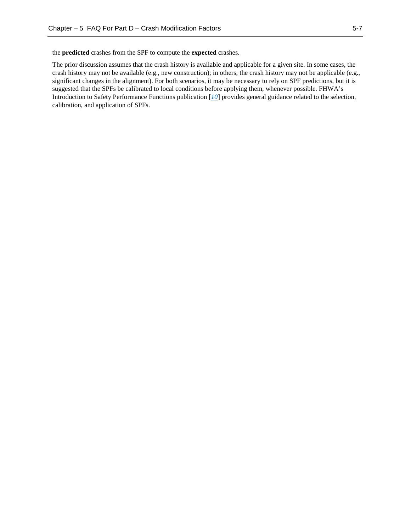the **predicted** crashes from the SPF to compute the **expected** crashes.

The prior discussion assumes that the crash history is available and applicable for a given site. In some cases, the crash history may not be available (e.g., new construction); in others, the crash history may not be applicable (e.g., significant changes in the alignment). For both scenarios, it may be necessary to rely on SPF predictions, but it is suggested that the SPFs be calibrated to local conditions before applying them, whenever possible. FHWA's Introduction to Safety Performance Functions publication [*[10](#page-52-6)*] provides general guidance related to the selection, calibration, and application of SPFs.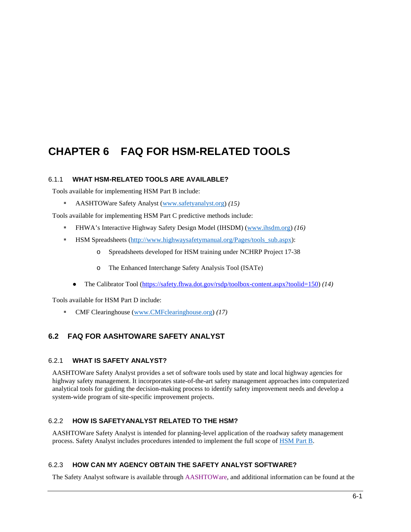## <span id="page-43-0"></span>**CHAPTER 6 FAQ FOR HSM-RELATED TOOLS**

### <span id="page-43-1"></span>6.1.1 **WHAT HSM-RELATED TOOLS ARE AVAILABLE?**

Tools available for implementing HSM Part B include:

AASHTOWare Safety Analyst [\(www.safetyanalyst.org\)](http://www.safetyanalyst.org/) *(15)*

Tools available for implementing HSM Part C predictive methods include:

- FHWA's Interactive Highway Safety Design Model (IHSDM) [\(www.ihsdm.org\)](http://www.ihsdm.org/) *(16)*
- **HSM Spreadsheets (http://www.highwaysafetymanual.org/Pages/tools\_sub.aspx):** 
	- o Spreadsheets developed for HSM training under NCHRP Project 17-38
	- o The Enhanced Interchange Safety Analysis Tool (ISATe)
	- The Calibrator Tool [\(https://safety.fhwa.dot.gov/rsdp/toolbox-content.aspx?toolid=150\)](https://safety.fhwa.dot.gov/rsdp/toolbox-content.aspx?toolid=150) *(14)*

Tools available for HSM Part D include:

CMF Clearinghouse [\(www.CMFclearinghouse.org\)](http://www.cmfclearinghouse.org/) *(17)*

## <span id="page-43-3"></span><span id="page-43-2"></span>**6.2 FAQ FOR AASHTOWARE SAFETY ANALYST**

#### 6.2.1 **WHAT IS SAFETY ANALYST?**

AASHTOWare Safety Analyst provides a set of software tools used by state and local highway agencies for highway safety management. It incorporates state-of-the-art safety management approaches into computerized analytical tools for guiding the decision-making process to identify safety improvement needs and develop a system-wide program of site-specific improvement projects.

## <span id="page-43-4"></span>6.2.2 **HOW IS SAFETYANALYST RELATED TO THE HSM?**

AASHTOWare Safety Analyst is intended for planning-level application of the roadway safety management process. Safety Analyst includes procedures intended to implement the full scope of HSM Part B.

#### <span id="page-43-5"></span>6.2.3 **HOW CAN MY AGENCY OBTAIN THE SAFETY ANALYST SOFTWARE?**

The Safety Analyst software is available through [AASHTOW](http://www.aashtoware.org/Pages/SafetyAnalyst.aspx)are, and additional information can be found at the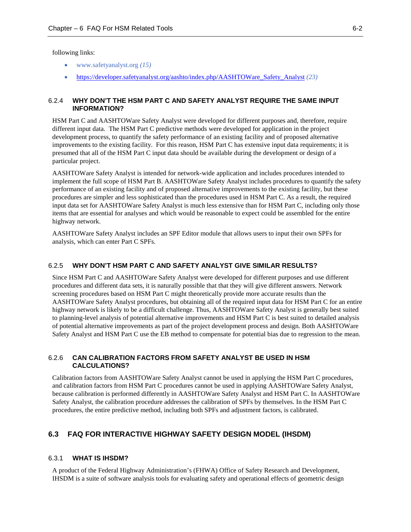following links:

- [www.safetyanalyst.org](about:blank) *(15)*
- [https://developer.safetyanalyst.org/aashto/index.php/AASHTOWare\\_Safety\\_Analyst](https://developer.safetyanalyst.org/aashto/index.php/AASHTOWare_Safety_Analyst) *(23)*

#### <span id="page-44-0"></span>6.2.4 **WHY DON'T THE HSM PART C AND SAFETY ANALYST REQUIRE THE SAME INPUT INFORMATION?**

HSM Part C and AASHTOWare Safety Analyst were developed for different purposes and, therefore, require different input data. The HSM Part C predictive methods were developed for application in the project development process, to quantify the safety performance of an existing facility and of proposed alternative improvements to the existing facility. For this reason, HSM Part C has extensive input data requirements; it is presumed that all of the HSM Part C input data should be available during the development or design of a particular project.

AASHTOWare Safety Analyst is intended for network-wide application and includes procedures intended to implement the full scope of HSM Part B. AASHTOWare Safety Analyst includes procedures to quantify the safety performance of an existing facility and of proposed alternative improvements to the existing facility, but these procedures are simpler and less sophisticated than the procedures used in HSM Part C. As a result, the required input data set for AASHTOWare Safety Analyst is much less extensive than for HSM Part C, including only those items that are essential for analyses and which would be reasonable to expect could be assembled for the entire highway network.

AASHTOWare Safety Analyst includes an SPF Editor module that allows users to input their own SPFs for analysis, which can enter Part C SPFs.

### <span id="page-44-1"></span>6.2.5 **WHY DON'T HSM PART C AND SAFETY ANALYST GIVE SIMILAR RESULTS?**

Since HSM Part C and AASHTOWare Safety Analyst were developed for different purposes and use different procedures and different data sets, it is naturally possible that that they will give different answers. Network screening procedures based on HSM Part C might theoretically provide more accurate results than the AASHTOWare Safety Analyst procedures, but obtaining all of the required input data for HSM Part C for an entire highway network is likely to be a difficult challenge. Thus, AASHTOWare Safety Analyst is generally best suited to planning-level analysis of potential alternative improvements and HSM Part C is best suited to detailed analysis of potential alternative improvements as part of the project development process and design. Both AASHTOWare Safety Analyst and HSM Part C use the EB method to compensate for potential bias due to regression to the mean.

#### <span id="page-44-2"></span>6.2.6 **CAN CALIBRATION FACTORS FROM SAFETY ANALYST BE USED IN HSM CALCULATIONS?**

Calibration factors from AASHTOWare Safety Analyst cannot be used in applying the HSM Part C procedures, and calibration factors from HSM Part C procedures cannot be used in applying AASHTOWare Safety Analyst, because calibration is performed differently in AASHTOWare Safety Analyst and HSM Part C. In AASHTOWare Safety Analyst, the calibration procedure addresses the calibration of SPFs by themselves. In the HSM Part C procedures, the entire predictive method, including both SPFs and adjustment factors, is calibrated.

#### <span id="page-44-4"></span><span id="page-44-3"></span>**6.3 FAQ FOR INTERACTIVE HIGHWAY SAFETY DESIGN MODEL (IHSDM)**

#### 6.3.1 **WHAT IS IHSDM?**

A product of the Federal Highway Administration's (FHWA) Office of Safety Research and Development, IHSDM is a suite of software analysis tools for evaluating safety and operational effects of geometric design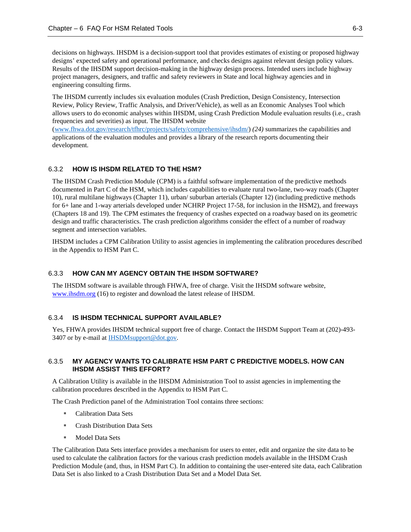decisions on highways. IHSDM is a decision-support tool that provides estimates of existing or proposed highway designs' expected safety and operational performance, and checks designs against relevant design policy values. Results of the IHSDM support decision-making in the highway design process. Intended users include highway project managers, designers, and traffic and safety reviewers in State and local highway agencies and in engineering consulting firms.

The IHSDM currently includes six evaluation modules (Crash Prediction, Design Consistency, Intersection Review, Policy Review, Traffic Analysis, and Driver/Vehicle), as well as an Economic Analyses Tool which allows users to do economic analyses within IHSDM, using Crash Prediction Module evaluation results (i.e., crash frequencies and severities) as input. The IHSDM website

[\(www.fhwa.dot.gov/research/tfhrc/projects/safety/comprehensive/ihsdm/\)](http://www.fhwa.dot.gov/research/tfhrc/projects/safety/comprehensive/ihsdm/) *(24)* summarizes the capabilities and applications of the evaluation modules and provides a library of the research reports documenting their development.

#### <span id="page-45-0"></span>6.3.2 **HOW IS IHSDM RELATED TO THE HSM?**

The IHSDM Crash Prediction Module (CPM) is a faithful software implementation of the predictive methods documented in Part C of the HSM, which includes capabilities to evaluate rural two-lane, two-way roads (Chapter 10), rural multilane highways (Chapter 11), urban/ suburban arterials (Chapter 12) (including predictive methods for 6+ lane and 1-way arterials developed under NCHRP Project 17-58, for inclusion in the HSM2), and freeways (Chapters 18 and 19). The CPM estimates the frequency of crashes expected on a roadway based on its geometric design and traffic characteristics. The crash prediction algorithms consider the effect of a number of roadway segment and intersection variables.

IHSDM includes a CPM Calibration Utility to assist agencies in implementing the calibration procedures described in the Appendix to HSM Part C.

#### <span id="page-45-1"></span>6.3.3 **HOW CAN MY AGENCY OBTAIN THE IHSDM SOFTWARE?**

The IHSDM software is available through FHWA, free of charge. Visit the IHSDM software website, [www.ihsdm.org](http://www.ihsdm.org/) (16) to register and download the latest release of IHSDM.

#### <span id="page-45-2"></span>6.3.4 **IS IHSDM TECHNICAL SUPPORT AVAILABLE?**

Yes, FHWA provides IHSDM technical support free of charge. Contact the IHSDM Support Team at (202)-493- 3407 or by e-mail at **IHSDM**support@dot.gov.

#### <span id="page-45-3"></span>6.3.5 **MY AGENCY WANTS TO CALIBRATE HSM PART C PREDICTIVE MODELS. HOW CAN IHSDM ASSIST THIS EFFORT?**

A Calibration Utility is available in the IHSDM Administration Tool to assist agencies in implementing the calibration procedures described in the Appendix to HSM Part C.

The Crash Prediction panel of the Administration Tool contains three sections:

- Calibration Data Sets
- **Crash Distribution Data Sets**
- Model Data Sets

The Calibration Data Sets interface provides a mechanism for users to enter, edit and organize the site data to be used to calculate the calibration factors for the various crash prediction models available in the IHSDM Crash Prediction Module (and, thus, in HSM Part C). In addition to containing the user-entered site data, each Calibration Data Set is also linked to a Crash Distribution Data Set and a Model Data Set.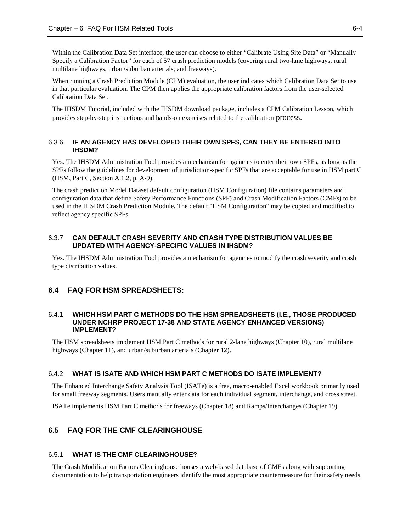Within the Calibration Data Set interface, the user can choose to either "Calibrate Using Site Data" or "Manually Specify a Calibration Factor" for each of 57 crash prediction models (covering rural two-lane highways, rural multilane highways, urban/suburban arterials, and freeways).

When running a Crash Prediction Module (CPM) evaluation, the user indicates which Calibration Data Set to use in that particular evaluation. The CPM then applies the appropriate calibration factors from the user-selected Calibration Data Set.

The IHSDM Tutorial, included with the IHSDM download package, includes a CPM Calibration Lesson, which provides step-by-step instructions and hands-on exercises related to the calibration process.

#### <span id="page-46-0"></span>6.3.6 **IF AN AGENCY HAS DEVELOPED THEIR OWN SPFS, CAN THEY BE ENTERED INTO IHSDM?**

Yes. The IHSDM Administration Tool provides a mechanism for agencies to enter their own SPFs, as long as the SPFs follow the guidelines for development of jurisdiction-specific SPFs that are acceptable for use in HSM part C (HSM, Part C, Section A.1.2, p. A-9).

The crash prediction Model Dataset default configuration (HSM Configuration) file contains parameters and configuration data that define Safety Performance Functions (SPF) and Crash Modification Factors (CMFs) to be used in the IHSDM Crash Prediction Module. The default "HSM Configuration" may be copied and modified to reflect agency specific SPFs.

#### <span id="page-46-1"></span>6.3.7 **CAN DEFAULT CRASH SEVERITY AND CRASH TYPE DISTRIBUTION VALUES BE UPDATED WITH AGENCY-SPECIFIC VALUES IN IHSDM?**

Yes. The IHSDM Administration Tool provides a mechanism for agencies to modify the crash severity and crash type distribution values.

### <span id="page-46-3"></span><span id="page-46-2"></span>**6.4 FAQ FOR HSM SPREADSHEETS:**

#### 6.4.1 **WHICH HSM PART C METHODS DO THE HSM SPREADSHEETS (I.E., THOSE PRODUCED UNDER NCHRP PROJECT 17-38 AND STATE AGENCY ENHANCED VERSIONS) IMPLEMENT?**

The HSM spreadsheets implement HSM Part C methods for rural 2-lane highways (Chapter 10), rural multilane highways (Chapter 11), and urban/suburban arterials (Chapter 12).

#### <span id="page-46-4"></span>6.4.2 **WHAT IS ISATE AND WHICH HSM PART C METHODS DO ISATE IMPLEMENT?**

The Enhanced Interchange Safety Analysis Tool (ISATe) is a free, macro-enabled Excel workbook primarily used for small freeway segments. Users manually enter data for each individual segment, interchange, and cross street.

<span id="page-46-5"></span>ISATe implements HSM Part C methods for freeways (Chapter 18) and Ramps/Interchanges (Chapter 19).

## <span id="page-46-6"></span>**6.5 FAQ FOR THE CMF CLEARINGHOUSE**

#### 6.5.1 **WHAT IS THE CMF CLEARINGHOUSE?**

The Crash Modification Factors Clearinghouse houses a web-based database of CMFs along with supporting documentation to help transportation engineers identify the most appropriate countermeasure for their safety needs.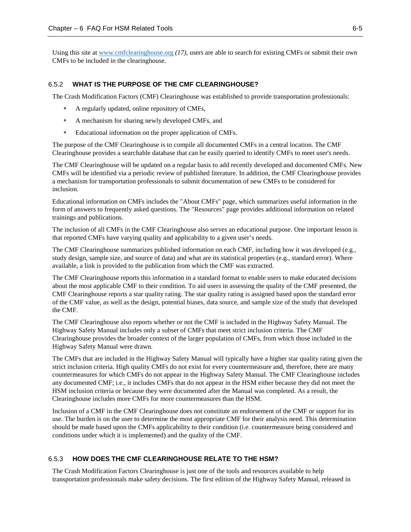Using this site at [www.cmfclearinghouse.org](about:blank) *(17),* users are able to search for existing CMFs or submit their own CMFs to be included in the clearinghouse.

#### <span id="page-47-0"></span>6.5.2 **WHAT IS THE PURPOSE OF THE CMF CLEARINGHOUSE?**

The Crash Modification Factors (CMF) Clearinghouse was established to provide transportation professionals:

- A regularly updated, online repository of CMFs,
- A mechanism for sharing newly developed CMFs, and
- Educational information on the proper application of CMFs.

The purpose of the CMF Clearinghouse is to compile all documented CMFs in a central location. The CMF Clearinghouse provides a searchable database that can be easily queried to identify CMFs to meet user's needs.

The CMF Clearinghouse will be updated on a regular basis to add recently developed and documented CMFs. New CMFs will be identified via a periodic review of published literature. In addition, the CMF Clearinghouse provides a mechanism for transportation professionals to submit documentation of new CMFs to be considered for inclusion.

Educational information on CMFs includes the "About CMFs" page, which summarizes useful information in the form of answers to frequently asked questions. The "Resources" page provides additional information on related trainings and publications.

The inclusion of all CMFs in the CMF Clearinghouse also serves an educational purpose. One important lesson is that reported CMFs have varying quality and applicability to a given user's needs.

The CMF Clearinghouse summarizes published information on each CMF, including how it was developed (e.g., study design, sample size, and source of data) and what are its statistical properties (e.g., standard error). Where available, a link is provided to the publication from which the CMF was extracted.

The CMF Clearinghouse reports this information in a standard format to enable users to make educated decisions about the most applicable CMF to their condition. To aid users in assessing the quality of the CMF presented, the CMF Clearinghouse reports a star quality rating. The star quality rating is assigned based upon the standard error of the CMF value, as well as the design, potential biases, data source, and sample size of the study that developed the CMF.

The CMF Clearinghouse also reports whether or not the CMF is included in the Highway Safety Manual. The Highway Safety Manual includes only a subset of CMFs that meet strict inclusion criteria. The CMF Clearinghouse provides the broader context of the larger population of CMFs, from which those included in the Highway Safety Manual were drawn.

The CMFs that are included in the Highway Safety Manual will typically have a higher star quality rating given the strict inclusion criteria. High quality CMFs do not exist for every countermeasure and, therefore, there are many countermeasures for which CMFs do not appear in the Highway Safety Manual. The CMF Clearinghouse includes any documented CMF; i.e., it includes CMFs that do not appear in the HSM either because they did not meet the HSM inclusion criteria or because they were documented after the Manual was completed. As a result, the Clearinghouse includes more CMFs for more countermeasures than the HSM.

Inclusion of a CMF in the CMF Clearinghouse does not constitute an endorsement of the CMF or support for its use. The burden is on the user to determine the most appropriate CMF for their analysis need. This determination should be made based upon the CMFs applicability to their condition (i.e. countermeasure being considered and conditions under which it is implemented) and the quality of the CMF.

#### <span id="page-47-1"></span>6.5.3 **HOW DOES THE CMF CLEARINGHOUSE RELATE TO THE HSM?**

The Crash Modification Factors Clearinghouse is just one of the tools and resources available to help transportation professionals make safety decisions. The first edition of the Highway Safety Manual, released in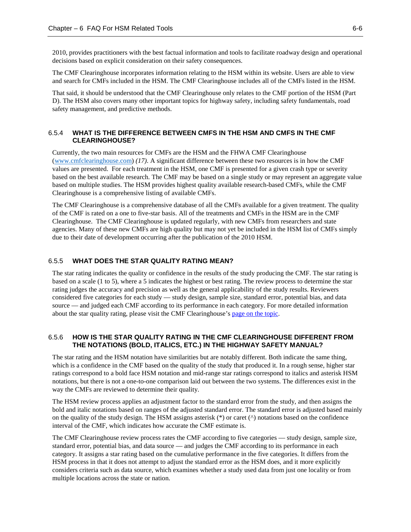2010, provides practitioners with the best factual information and tools to facilitate roadway design and operational decisions based on explicit consideration on their safety consequences.

The CMF Clearinghouse incorporates information relating to the HSM within its website. Users are able to view and search for CMFs included in the HSM. The CMF Clearinghouse includes all of the CMFs listed in the HSM.

That said, it should be understood that the CMF Clearinghouse only relates to the CMF portion of the HSM (Part D). The HSM also covers many other important topics for highway safety, including safety fundamentals, road safety management, and predictive methods.

#### <span id="page-48-0"></span>6.5.4 **WHAT IS THE DIFFERENCE BETWEEN CMFS IN THE HSM AND CMFS IN THE CMF CLEARINGHOUSE?**

Currently, the two main resources for CMFs are the HSM and the FHWA CMF Clearinghouse [\(www.cmfclearinghouse.com\)](http://www.cmfclearinghouse.com/) *(17)*. A significant difference between these two resources is in how the CMF values are presented. For each treatment in the HSM, one CMF is presented for a given crash type or severity based on the best available research. The CMF may be based on a single study or may represent an aggregate value based on multiple studies. The HSM provides highest quality available research-based CMFs, while the CMF Clearinghouse is a comprehensive listing of available CMFs.

The CMF Clearinghouse is a comprehensive database of all the CMFs available for a given treatment. The quality of the CMF is rated on a one to five-star basis. All of the treatments and CMFs in the HSM are in the CMF Clearinghouse. The CMF Clearinghouse is updated regularly, with new CMFs from researchers and state agencies. Many of these new CMFs are high quality but may not yet be included in the HSM list of CMFs simply due to their date of development occurring after the publication of the 2010 HSM.

#### <span id="page-48-1"></span>6.5.5 **WHAT DOES THE STAR QUALITY RATING MEAN?**

The star rating indicates the quality or confidence in the results of the study producing the CMF. The star rating is based on a scale (1 to 5), where a 5 indicates the highest or best rating. The review process to determine the star rating judges the accuracy and precision as well as the general applicability of the study results. Reviewers considered five categories for each study — study design, sample size, standard error, potential bias, and data source — and judged each CMF according to its performance in each category. For more detailed information about the star quality rating, please visit the CMF Clearinghouse's [page on the topic.](http://www.cmfclearinghouse.org/sqr.cfm)

#### <span id="page-48-2"></span>6.5.6 **HOW IS THE STAR QUALITY RATING IN THE CMF CLEARINGHOUSE DIFFERENT FROM THE NOTATIONS (BOLD, ITALICS, ETC.) IN THE HIGHWAY SAFETY MANUAL?**

The star rating and the HSM notation have similarities but are notably different. Both indicate the same thing, which is a confidence in the CMF based on the quality of the study that produced it. In a rough sense, higher star ratings correspond to a bold face HSM notation and mid-range star ratings correspond to italics and asterisk HSM notations, but there is not a one-to-one comparison laid out between the two systems. The differences exist in the way the CMFs are reviewed t[o determine their quality.](http://www.cmfclearinghouse.org/sqr.cfm)

The HSM review process applies an adjustment factor to the standard error from the study, and then assigns the bold and italic notations based on ranges of the adjusted standard error. The standard error is adjusted based mainly on the quality of the study design. The HSM assigns asterisk (\*) or caret (^) notations based on the confidence interval of the CMF, which indicates how accurate the CMF estimate is.

The CMF Clearinghouse review process rates the CMF according to five categories — study design, sample size, standard error, potential bias, and data source — and judges the CMF according to its performance in each category. It assigns a star rating based on the cumulative performance in the five categories. It differs from the HSM process in that it does not attempt to adjust the standard error as the HSM does, and it more explicitly considers criteria such as data source, which examines whether a study used data from just one locality or from multiple locations across the state or nation.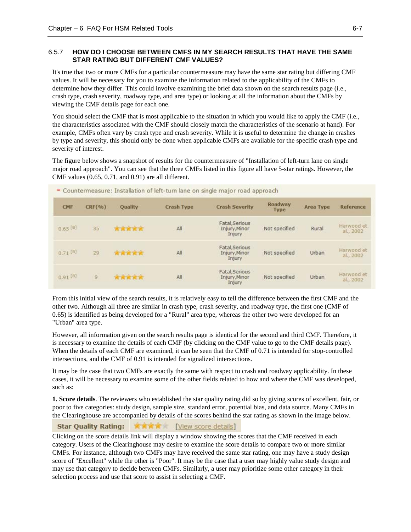#### <span id="page-49-0"></span>6.5.7 **HOW DO I CHOOSE BETWEEN CMFS IN MY SEARCH RESULTS THAT HAVE THE SAME STAR RATING BUT DIFFERENT CMF VALUES?**

It's true that two or more CMFs for a particular countermeasure may have the same star rating but differing CMF values. It will be necessary for you to examine the information related to the applicability of the CMFs to determine how they differ. This could involve examining the brief data shown on the search results page (i.e., crash type, crash severity, roadway type, and area type) or looking at all the information about the CMFs by viewing the CMF details page for each one.

You should select the CMF that is most applicable to the situation in which you would like to apply the CMF (i.e., the characteristics associated with the CMF should closely match the characteristics of the scenario at hand). For example, CMFs often vary by crash type and crash severity. While it is useful to determine the change in crashes by type and severity, this should only be done when applicable CMFs are available for the specific crash type and severity of interest.

The figure below shows a snapshot of results for the countermeasure of "Installation of left-turn lane on single major road approach". You can see that the three CMFs listed in this figure all have 5-star ratings. However, the CMF values (0.65, 0.71, and 0.91) are all different.

| <b>CMF</b>   | CRF(%) | Quality | <b>Crash Type</b> | <b>Crash Severity</b>                     | Roadway<br>Type | <b>Area Type</b> | Reference               |
|--------------|--------|---------|-------------------|-------------------------------------------|-----------------|------------------|-------------------------|
| $0.65^{[B]}$ | 35     | *****   | All               | Fatal, Serious<br>Injury, Minor<br>Injury | Not specified   | Rural            | Harwood et<br>al., 2002 |
| $0.71^{[B]}$ | 29     | *****   | All               | Fatal, Serious<br>Injury, Minor<br>Injury | Not specified   | Urban            | Harwood et<br>al., 2002 |
| $0.91^{[8]}$ | 9      | *****   | All               | Fatal, Serious<br>Injury, Minor<br>Injury | Not specified   | Urban            | Harwood et<br>al., 2002 |

- Countermeasure: Installation of left-turn lane on single major road annroach

From this initial view of the search results, it is relatively easy to tell the difference between the first CMF and the other two. Although all three are similar in crash type, crash severity, and roadway type, the first one (CMF of 0.65) is identified as being developed for a "Rural" area type, whereas the other two were developed for an "Urban" area type.

However, all information given on the search results page is identical for the second and third CMF. Therefore, it is necessary to examine the details of each CMF (by clicking on the CMF value to go to the CMF details page). When the details of each CMF are examined, it can be seen that the CMF of 0.71 is intended for stop-controlled intersections, and the CMF of 0.91 is intended for signalized intersections.

It may be the case that two CMFs are exactly the same with respect to crash and roadway applicability. In these cases, it will be necessary to examine some of the other fields related to how and where the CMF was developed, such as:

**1. Score details**. The reviewers who established the star quality rating did so by giving scores of excellent, fair, or poor to five categories: study design, sample size, standard error, potential bias, and data source. Many CMFs in the Clearinghouse are accompanied by details of the scores behind the star rating as shown in the image below.

#### **Star Quality Rating:** 文文文言 | View score details]

Clicking on the score details link will display a window showing the scores that the CMF received in each category. Users of the Clearinghouse may desire to examine the score details to compare two or more similar CMFs. For instance, although two CMFs may have received the same star rating, one may have a study design score of "Excellent" while the other is "Poor". It may be the case that a user may highly value study design and may use that category to decide between CMFs. Similarly, a user may prioritize some other category in their selection process and use that score to assist in selecting a CMF.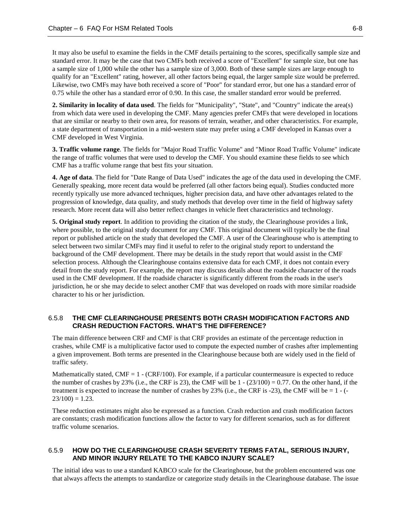It may also be useful to examine the fields in the CMF details pertaining to the scores, specifically sample size and standard error. It may be the case that two CMFs both received a score of "Excellent" for sample size, but one has a sample size of 1,000 while the other has a sample size of 3,000. Both of these sample sizes are large enough to qualify for an "Excellent" rating, however, all other factors being equal, the larger sample size would be preferred. Likewise, two CMFs may have both received a score of "Poor" for standard error, but one has a standard error of 0.75 while the other has a standard error of 0.90. In this case, the smaller standard error would be preferred.

**2. Similarity in locality of data used**. The fields for "Municipality", "State", and "Country" indicate the area(s) from which data were used in developing the CMF. Many agencies prefer CMFs that were developed in locations that are similar or nearby to their own area, for reasons of terrain, weather, and other characteristics. For example, a state department of transportation in a mid-western state may prefer using a CMF developed in Kansas over a CMF developed in West Virginia.

**3. Traffic volume range**. The fields for "Major Road Traffic Volume" and "Minor Road Traffic Volume" indicate the range of traffic volumes that were used to develop the CMF. You should examine these fields to see which CMF has a traffic volume range that best fits your situation.

**4. Age of data**. The field for "Date Range of Data Used" indicates the age of the data used in developing the CMF. Generally speaking, more recent data would be preferred (all other factors being equal). Studies conducted more recently typically use more advanced techniques, higher precision data, and have other advantages related to the progression of knowledge, data quality, and study methods that develop over time in the field of highway safety research. More recent data will also better reflect changes in vehicle fleet characteristics and technology.

**5. Original study report**. In addition to providing the citation of the study, the Clearinghouse provides a link, where possible, to the original study document for any CMF. This original document will typically be the final report or published article on the study that developed the CMF. A user of the Clearinghouse who is attempting to select between two similar CMFs may find it useful to refer to the original study report to understand the background of the CMF development. There may be details in the study report that would assist in the CMF selection process. Although the Clearinghouse contains extensive data for each CMF, it does not contain every detail from the study report. For example, the report may discuss details about the roadside character of the roads used in the CMF development. If the roadside character is significantly different from the roads in the user's jurisdiction, he or she may decide to select another CMF that was developed on roads with more similar roadside character to his or her jurisdiction.

#### <span id="page-50-0"></span>6.5.8 **THE CMF CLEARINGHOUSE PRESENTS BOTH CRASH MODIFICATION FACTORS AND CRASH REDUCTION FACTORS. WHAT'S THE DIFFERENCE?**

The main difference between CRF and CMF is that CRF provides an estimate of the percentage reduction in crashes, while CMF is a multiplicative factor used to compute the expected number of crashes after implementing a given improvement. Both terms are presented in the Clearinghouse because both are widely used in the field of traffic safety.

Mathematically stated,  $CMF = 1$  - ( $CRF/100$ ). For example, if a particular countermeasure is expected to reduce the number of crashes by 23% (i.e., the CRF is 23), the CMF will be  $1 - (23/100) = 0.77$ . On the other hand, if the treatment is expected to increase the number of crashes by 23% (i.e., the CRF is -23), the CMF will be = 1 - (-  $23/100 = 1.23$ .

These reduction estimates might also be expressed as a function. Crash reduction and crash modification factors are constants; crash modification functions allow the factor to vary for different scenarios, such as for different traffic volume scenarios.

#### <span id="page-50-1"></span>6.5.9 **HOW DO THE CLEARINGHOUSE CRASH SEVERITY TERMS FATAL, SERIOUS INJURY, AND MINOR INJURY RELATE TO THE KABCO INJURY SCALE?**

The initial idea was to use a standard KABCO scale for the Clearinghouse, but the problem encountered was one that always affects the attempts to standardize or categorize study details in the Clearinghouse database. The issue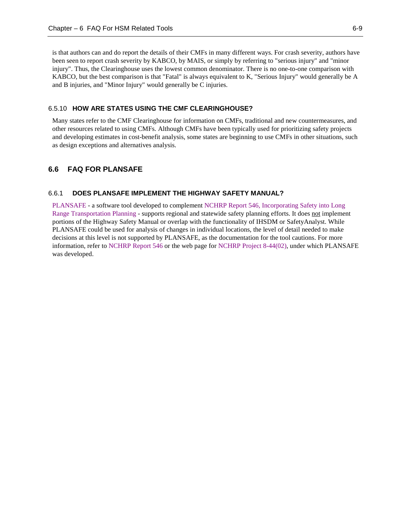is that authors can and do report the details of their CMFs in many different ways. For crash severity, authors have been seen to report crash severity by KABCO, by MAIS, or simply by referring to "serious injury" and "minor injury". Thus, the Clearinghouse uses the lowest common denominator. There is no one-to-one comparison with KABCO, but the best comparison is that "Fatal" is always equivalent to K, "Serious Injury" would generally be A and B injuries, and "Minor Injury" would generally be C injuries.

#### <span id="page-51-0"></span>6.5.10 **HOW ARE STATES USING THE CMF CLEARINGHOUSE?**

Many states refer to the CMF Clearinghouse for information on CMFs, traditional and new countermeasures, and other resources related to using CMFs. Although CMFs have been typically used for prioritizing safety projects and developing estimates in cost-benefit analysis, some states are beginning to use CMFs in other situations, such as design exceptions and alternatives analysis.

#### <span id="page-51-2"></span><span id="page-51-1"></span>**6.6 FAQ FOR PLANSAFE**

#### 6.6.1 **DOES PLANSAFE IMPLEMENT THE HIGHWAY SAFETY MANUAL?**

[PLANSAFE](http://www.trb.org/Main/Blurbs/PLANSAFE_Forecasting_the_Safety_Impacts_of_SocioDe_163790.aspx) - a software tool developed to complemen[t NCHRP Report 546, Incorporating Safety into Long](http://onlinepubs.trb.org/onlinepubs/nchrp/nchrp_rpt_546.pdf)  [Range Transportation Planning](http://onlinepubs.trb.org/onlinepubs/nchrp/nchrp_rpt_546.pdf) - supports regional and statewide safety planning efforts. It does not implement portions of the Highway Safety Manual or overlap with the functionality of IHSDM or SafetyAnalyst. While PLANSAFE could be used for analysis of changes in individual locations, the level of detail needed to make decisions at this level is not supported by PLANSAFE, as the documentation for the tool cautions. For more information, refer to [NCHRP Report 546](http://onlinepubs.trb.org/onlinepubs/nchrp/nchrp_rpt_546.pdf) or the web page for [NCHRP Project 8-44\(02\),](http://www.trb.org/Main/Blurbs/PLANSAFE_Forecasting_the_Safety_Impacts_of_SocioDe_163790.aspx) under which PLANSAFE was developed.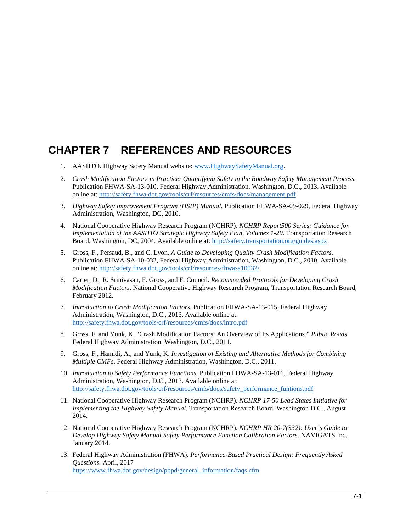## <span id="page-52-0"></span>**CHAPTER 7 REFERENCES AND RESOURCES**

- 1. AASHTO. Highway Safety Manual website[: www.HighwaySafetyManual.org.](http://www.highwaysafetymanual.com/)
- 2. *Crash Modification Factors in Practice: Quantifying Safety in the Roadway Safety Management Process.* Publication FHWA-SA-13-010, Federal Highway Administration, Washington, D.C., 2013. Available online at:<http://safety.fhwa.dot.gov/tools/crf/resources/cmfs/docs/management.pdf>
- <span id="page-52-4"></span>3. *Highway Safety Improvement Program (HSIP) Manual*. Publication FHWA-SA-09-029, Federal Highway Administration, Washington, DC, 2010.
- <span id="page-52-1"></span>4. National Cooperative Highway Research Program (NCHRP). *NCHRP Report500 Series: Guidance for Implementation of the AASHTO Strategic Highway Safety Plan, Volumes 1-20*. Transportation Research Board, Washington, DC, 2004. Available online at:<http://safety.transportation.org/guides.aspx>
- <span id="page-52-2"></span>5. Gross, F., Persaud, B., and C. Lyon. *A Guide to Developing Quality Crash Modification Factors*. Publication FHWA-SA-10-032, Federal Highway Administration, Washington, D.C., 2010. Available online at:<http://safety.fhwa.dot.gov/tools/crf/resources/fhwasa10032/>
- <span id="page-52-3"></span>6. Carter, D., R. Srinivasan, F. Gross, and F. Council. *Recommended Protocols for Developing Crash Modification Factors*. National Cooperative Highway Research Program, Transportation Research Board, February 2012.
- <span id="page-52-5"></span>7. *Introduction to Crash Modification Factors.* Publication FHWA-SA-13-015, Federal Highway Administration, Washington, D.C., 2013. Available online at: <http://safety.fhwa.dot.gov/tools/crf/resources/cmfs/docs/intro.pdf>
- 8. Gross, F. and Yunk, K. "Crash Modification Factors: An Overview of Its Applications." *Public Roads*. Federal Highway Administration, Washington, D.C., 2011.
- 9. Gross, F., Hamidi, A., and Yunk, K. *Investigation of Existing and Alternative Methods for Combining Multiple CMFs*. Federal Highway Administration, Washington, D.C., 2011.
- <span id="page-52-6"></span>10. *Introduction to Safety Performance Functions.* Publication FHWA-SA-13-016, Federal Highway Administration, Washington, D.C., 2013. Available online at: [http://safety.fhwa.dot.gov/tools/crf/resources/cmfs/docs/safety\\_performance\\_funtions.pdf](http://safety.fhwa.dot.gov/tools/crf/resources/cmfs/docs/safety_performance_funtions.pdf)
- 11. National Cooperative Highway Research Program (NCHRP). *NCHRP 17-50 Lead States Initiative for Implementing the Highway Safety Manual.* Transportation Research Board, Washington D.C., August 2014.
- 12. National Cooperative Highway Research Program (NCHRP). *NCHRP HR 20-7(332): User's Guide to Develop Highway Safety Manual Safety Performance Function Calibration Factors*. NAVIGATS Inc., January 2014.
- 13. Federal Highway Administration (FHWA). *Performance-Based Practical Design: Frequently Asked Questions.* April, 2017 [https://www.fhwa.dot.gov/design/pbpd/general\\_information/faqs.cfm](https://www.fhwa.dot.gov/design/pbpd/general_information/faqs.cfm)